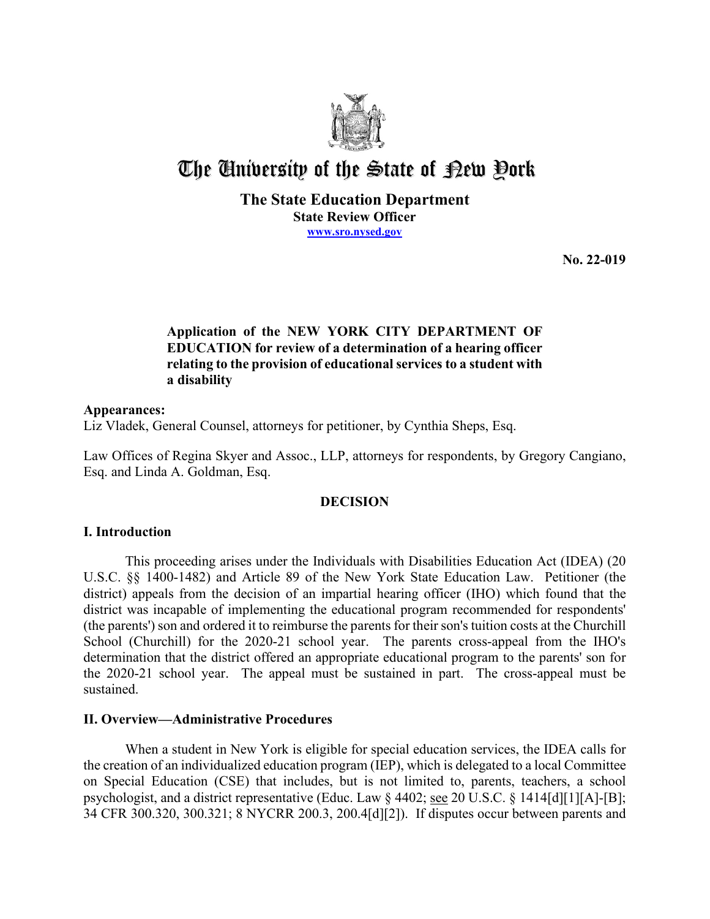

# The University of the State of Pew Pork

**The State Education Department State Review Officer [www.sro.nysed.gov](http://www.sro.nysed.gov/)** 

**No. 22-019** 

## **Application of the NEW YORK CITY DEPARTMENT OF EDUCATION for review of a determination of a hearing officer relating to the provision of educational services to a student with a disability**

## **Appearances:**

Liz Vladek, General Counsel, attorneys for petitioner, by Cynthia Sheps, Esq.

Law Offices of Regina Skyer and Assoc., LLP, attorneys for respondents, by Gregory Cangiano, Esq. and Linda A. Goldman, Esq.

## **DECISION**

## **I. Introduction**

This proceeding arises under the Individuals with Disabilities Education Act (IDEA) (20 U.S.C. §§ 1400-1482) and Article 89 of the New York State Education Law. Petitioner (the district) appeals from the decision of an impartial hearing officer (IHO) which found that the district was incapable of implementing the educational program recommended for respondents' (the parents') son and ordered it to reimburse the parents for their son's tuition costs at the Churchill School (Churchill) for the 2020-21 school year. The parents cross-appeal from the IHO's determination that the district offered an appropriate educational program to the parents' son for the 2020-21 school year. The appeal must be sustained in part. The cross-appeal must be sustained.

## **II. Overview—Administrative Procedures**

 the creation of an individualized education program (IEP), which is delegated to a local Committee on Special Education (CSE) that includes, but is not limited to, parents, teachers, a school When a student in New York is eligible for special education services, the IDEA calls for psychologist, and a district representative (Educ. Law § 4402; see 20 U.S.C. § 1414[d][1][A]-[B]; 34 CFR 300.320, 300.321; 8 NYCRR 200.3, 200.4[d][2]). If disputes occur between parents and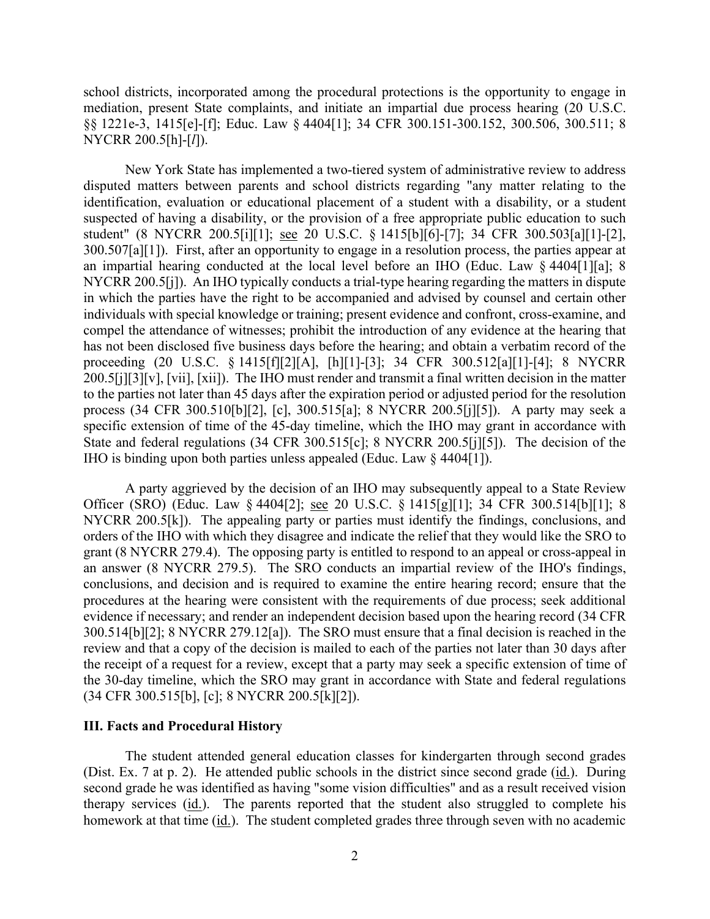§§ 1221e-3, 1415[e]-[f]; Educ. Law § 4404[1]; 34 CFR 300.151-300.152, 300.506, 300.511; 8 school districts, incorporated among the procedural protections is the opportunity to engage in mediation, present State complaints, and initiate an impartial due process hearing (20 U.S.C. NYCRR 200.5[h]-[*l*]).

 disputed matters between parents and school districts regarding "any matter relating to the student" (8 NYCRR 200.5[i][1]; see 20 U.S.C. § 1415[b][6]-[7]; 34 CFR 300.503[a][1]-[2], 300.507[a][1]). First, after an opportunity to engage in a resolution process, the parties appear at NYCRR 200.5[j]). An IHO typically conducts a trial-type hearing regarding the matters in dispute process (34 CFR 300.510[b][2], [c], 300.515[a]; 8 NYCRR 200.5[j][5]). A party may seek a IHO is binding upon both parties unless appealed (Educ. Law § 4404[1]). New York State has implemented a two-tiered system of administrative review to address identification, evaluation or educational placement of a student with a disability, or a student suspected of having a disability, or the provision of a free appropriate public education to such an impartial hearing conducted at the local level before an IHO (Educ. Law § 4404[1][a]; 8 in which the parties have the right to be accompanied and advised by counsel and certain other individuals with special knowledge or training; present evidence and confront, cross-examine, and compel the attendance of witnesses; prohibit the introduction of any evidence at the hearing that has not been disclosed five business days before the hearing; and obtain a verbatim record of the proceeding (20 U.S.C. § 1415[f][2][A], [h][1]-[3]; 34 CFR 300.512[a][1]-[4]; 8 NYCRR 200.5[j][3][v], [vii], [xii]). The IHO must render and transmit a final written decision in the matter to the parties not later than 45 days after the expiration period or adjusted period for the resolution specific extension of time of the 45-day timeline, which the IHO may grant in accordance with State and federal regulations (34 CFR 300.515[c]; 8 NYCRR 200.5[j][5]). The decision of the

Officer (SRO) (Educ. Law § 4404[2]; <u>see</u> 20 U.S.C. § 1415[g][1]; 34 CFR 300.514[b][1]; 8 NYCRR 200.5[k]). The appealing party or parties must identify the findings, conclusions, and 300.514[b][2]; 8 NYCRR 279.12[a]). The SRO must ensure that a final decision is reached in the review and that a copy of the decision is mailed to each of the parties not later than 30 days after A party aggrieved by the decision of an IHO may subsequently appeal to a State Review orders of the IHO with which they disagree and indicate the relief that they would like the SRO to grant (8 NYCRR 279.4). The opposing party is entitled to respond to an appeal or cross-appeal in an answer (8 NYCRR 279.5). The SRO conducts an impartial review of the IHO's findings, conclusions, and decision and is required to examine the entire hearing record; ensure that the procedures at the hearing were consistent with the requirements of due process; seek additional evidence if necessary; and render an independent decision based upon the hearing record (34 CFR the receipt of a request for a review, except that a party may seek a specific extension of time of the 30-day timeline, which the SRO may grant in accordance with State and federal regulations (34 CFR 300.515[b], [c]; 8 NYCRR 200.5[k][2]).

#### **III. Facts and Procedural History**

(Dist. Ex. 7 at p. 2). He attended public schools in the district since second grade (*id.*). During homework at that time (id.). The student completed grades three through seven with no academic The student attended general education classes for kindergarten through second grades second grade he was identified as having "some vision difficulties" and as a result received vision therapy services (id.). The parents reported that the student also struggled to complete his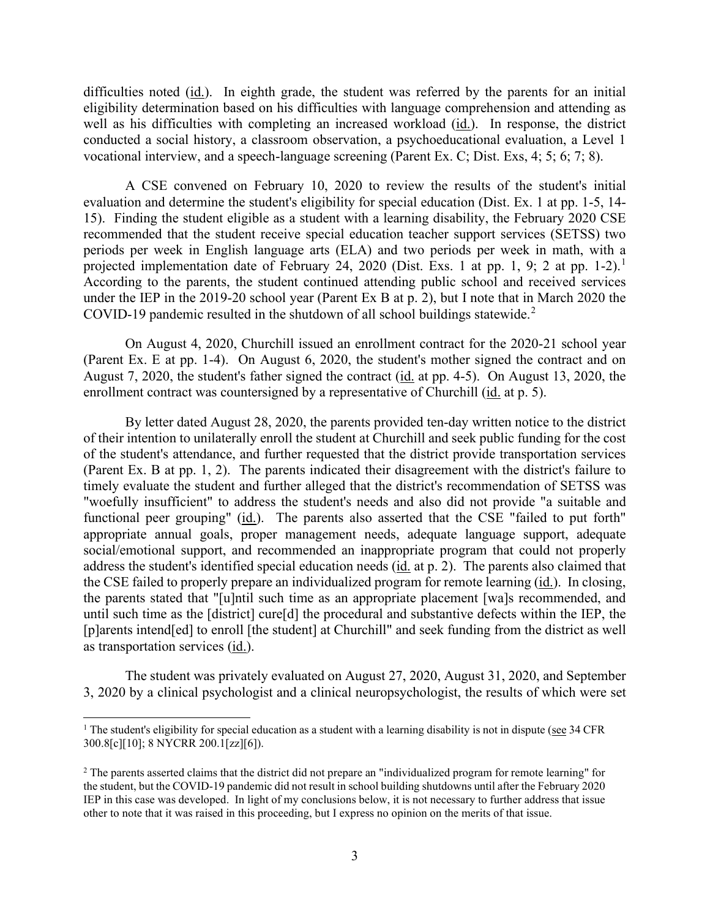difficulties noted (id.). In eighth grade, the student was referred by the parents for an initial eligibility determination based on his difficulties with language comprehension and attending as well as his difficulties with completing an increased workload (id.). In response, the district vocational interview, and a speech-language screening (Parent Ex. C; Dist. Exs, 4; 5; 6; 7; 8). conducted a social history, a classroom observation, a psychoeducational evaluation, a Level 1

 recommended that the student receive special education teacher support services (SETSS) two projected implementation date of February 24, 2020 (Dist. Exs. [1](#page-2-0) at pp. 1, 9; 2 at pp. 1-2).<sup>1</sup> under the IEP in the 2019-20 school year (Parent Ex B at p. 2), but I note that in March 2020 the COVID-19 pandemic resulted in the shutdown of all school buildings statewide. $2$ A CSE convened on February 10, 2020 to review the results of the student's initial evaluation and determine the student's eligibility for special education (Dist. Ex. 1 at pp. 1-5, 14- 15). Finding the student eligible as a student with a learning disability, the February 2020 CSE periods per week in English language arts (ELA) and two periods per week in math, with a According to the parents, the student continued attending public school and received services

enrollment contract was countersigned by a representative of Churchill (id. at p. 5). On August 4, 2020, Churchill issued an enrollment contract for the 2020-21 school year (Parent Ex. E at pp. 1-4). On August 6, 2020, the student's mother signed the contract and on August 7, 2020, the student's father signed the contract (id. at pp. 4-5). On August 13, 2020, the

address the student's identified special education needs (id. at p. 2). The parents also claimed that the CSE failed to properly prepare an individualized program for remote learning (*id.*). In closing, By letter dated August 28, 2020, the parents provided ten-day written notice to the district of their intention to unilaterally enroll the student at Churchill and seek public funding for the cost of the student's attendance, and further requested that the district provide transportation services (Parent Ex. B at pp. 1, 2). The parents indicated their disagreement with the district's failure to timely evaluate the student and further alleged that the district's recommendation of SETSS was "woefully insufficient" to address the student's needs and also did not provide "a suitable and functional peer grouping" (id.). The parents also asserted that the CSE "failed to put forth" appropriate annual goals, proper management needs, adequate language support, adequate social/emotional support, and recommended an inappropriate program that could not properly the parents stated that "[u]ntil such time as an appropriate placement [wa]s recommended, and until such time as the [district] cure[d] the procedural and substantive defects within the IEP, the [p]arents intend[ed] to enroll [the student] at Churchill" and seek funding from the district as well as transportation services (id.).

The student was privately evaluated on August 27, 2020, August 31, 2020, and September 3, 2020 by a clinical psychologist and a clinical neuropsychologist, the results of which were set

<span id="page-2-0"></span><sup>&</sup>lt;sup>1</sup> The student's eligibility for special education as a student with a learning disability is not in dispute (see 34 CFR) 300.8[c][10]; 8 NYCRR 200.1[zz][6]).

<span id="page-2-1"></span> $2$  The parents asserted claims that the district did not prepare an "individualized program for remote learning" for the student, but the COVID-19 pandemic did not result in school building shutdowns until after the February 2020 IEP in this case was developed. In light of my conclusions below, it is not necessary to further address that issue other to note that it was raised in this proceeding, but I express no opinion on the merits of that issue.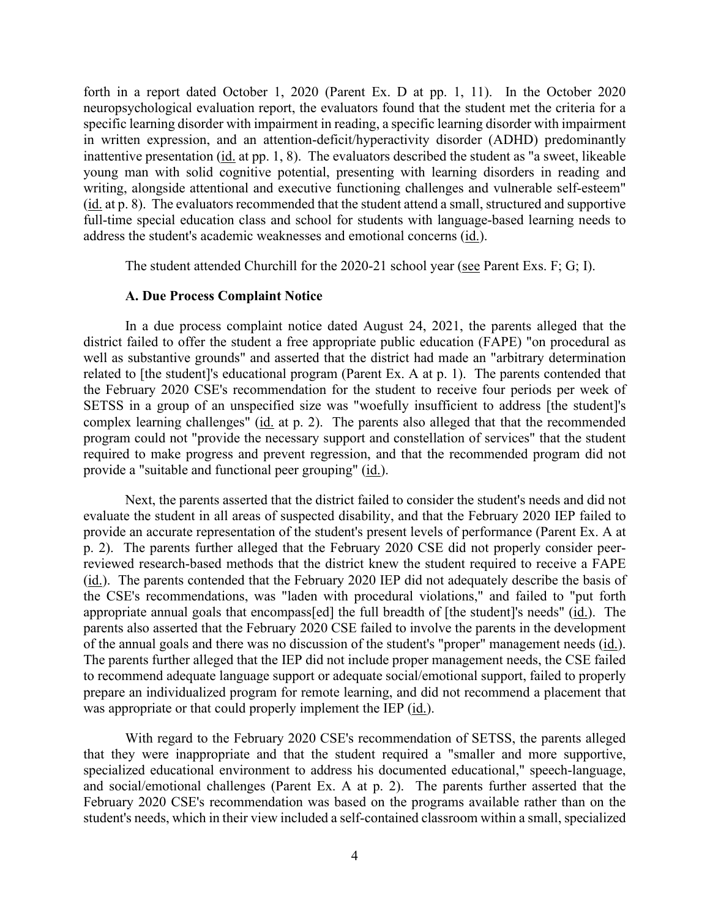forth in a report dated October 1, 2020 (Parent Ex. D at pp. 1, 11). In the October 2020 neuropsychological evaluation report, the evaluators found that the student met the criteria for a specific learning disorder with impairment in reading, a specific learning disorder with impairment in written expression, and an attention-deficit/hyperactivity disorder (ADHD) predominantly inattentive presentation (id. at pp. 1, 8). The evaluators described the student as "a sweet, likeable young man with solid cognitive potential, presenting with learning disorders in reading and writing, alongside attentional and executive functioning challenges and vulnerable self-esteem" (id. at p. 8). The evaluators recommended that the student attend a small, structured and supportive full-time special education class and school for students with language-based learning needs to address the student's academic weaknesses and emotional concerns (id.).

The student attended Churchill for the 2020-21 school year (see Parent Exs. F; G; I).

#### **A. Due Process Complaint Notice**

In a due process complaint notice dated August 24, 2021, the parents alleged that the district failed to offer the student a free appropriate public education (FAPE) "on procedural as well as substantive grounds" and asserted that the district had made an "arbitrary determination related to [the student]'s educational program (Parent Ex. A at p. 1). The parents contended that the February 2020 CSE's recommendation for the student to receive four periods per week of SETSS in a group of an unspecified size was "woefully insufficient to address [the student]'s complex learning challenges" (id. at p. 2). The parents also alleged that that the recommended program could not "provide the necessary support and constellation of services" that the student required to make progress and prevent regression, and that the recommended program did not provide a "suitable and functional peer grouping" (id.).

 provide an accurate representation of the student's present levels of performance (Parent Ex. A at reviewed research-based methods that the district knew the student required to receive a FAPE of the annual goals and there was no discussion of the student's "proper" management needs (id.). Next, the parents asserted that the district failed to consider the student's needs and did not evaluate the student in all areas of suspected disability, and that the February 2020 IEP failed to p. 2). The parents further alleged that the February 2020 CSE did not properly consider peer-(id.). The parents contended that the February 2020 IEP did not adequately describe the basis of the CSE's recommendations, was "laden with procedural violations," and failed to "put forth appropriate annual goals that encompass[ed] the full breadth of [the student]'s needs" (id.). The parents also asserted that the February 2020 CSE failed to involve the parents in the development The parents further alleged that the IEP did not include proper management needs, the CSE failed to recommend adequate language support or adequate social/emotional support, failed to properly prepare an individualized program for remote learning, and did not recommend a placement that was appropriate or that could properly implement the IEP (id.).

 student's needs, which in their view included a self-contained classroom within a small, specialized With regard to the February 2020 CSE's recommendation of SETSS, the parents alleged that they were inappropriate and that the student required a "smaller and more supportive, specialized educational environment to address his documented educational," speech-language, and social/emotional challenges (Parent Ex. A at p. 2). The parents further asserted that the February 2020 CSE's recommendation was based on the programs available rather than on the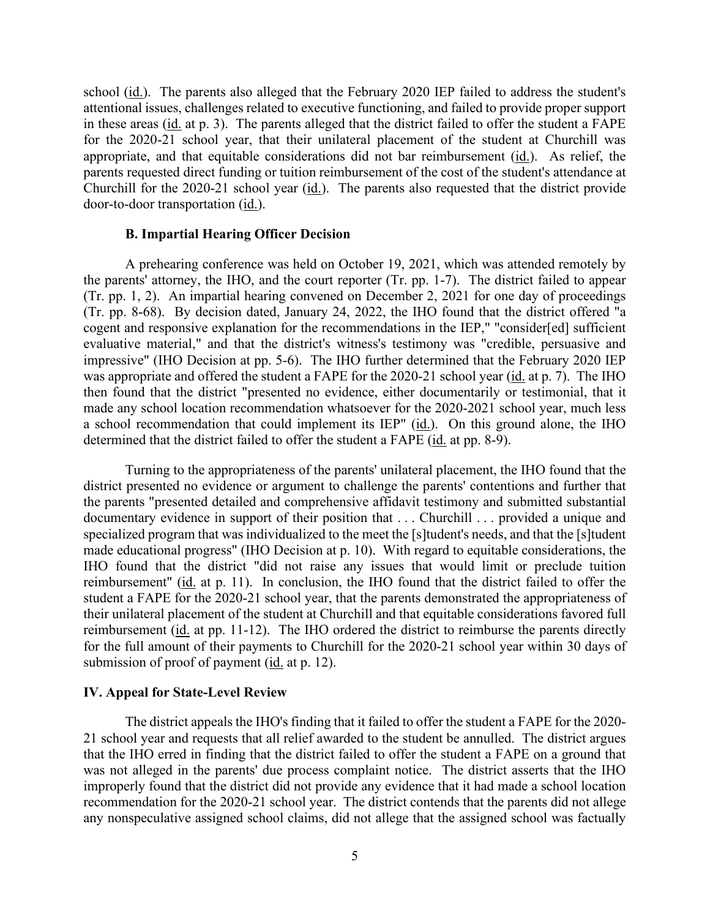school (id.). The parents also alleged that the February 2020 IEP failed to address the student's parents requested direct funding or tuition reimbursement of the cost of the student's attendance at attentional issues, challenges related to executive functioning, and failed to provide proper support in these areas (id. at p. 3). The parents alleged that the district failed to offer the student a FAPE for the 2020-21 school year, that their unilateral placement of the student at Churchill was appropriate, and that equitable considerations did not bar reimbursement (id.). As relief, the Churchill for the 2020-21 school year (id.). The parents also requested that the district provide door-to-door transportation (id.).

#### **B. Impartial Hearing Officer Decision**

 cogent and responsive explanation for the recommendations in the IEP," "consider[ed] sufficient a school recommendation that could implement its IEP" (id.). On this ground alone, the IHO determined that the district failed to offer the student a FAPE (id. at pp. 8-9). A prehearing conference was held on October 19, 2021, which was attended remotely by the parents' attorney, the IHO, and the court reporter (Tr. pp. 1-7). The district failed to appear (Tr. pp. 1, 2). An impartial hearing convened on December 2, 2021 for one day of proceedings (Tr. pp. 8-68). By decision dated, January 24, 2022, the IHO found that the district offered "a evaluative material," and that the district's witness's testimony was "credible, persuasive and impressive" (IHO Decision at pp. 5-6). The IHO further determined that the February 2020 IEP was appropriate and offered the student a FAPE for the 2020-21 school year (id. at p. 7). The IHO then found that the district "presented no evidence, either documentarily or testimonial, that it made any school location recommendation whatsoever for the 2020-2021 school year, much less

 Turning to the appropriateness of the parents' unilateral placement, the IHO found that the documentary evidence in support of their position that . . . Churchill . . . provided a unique and specialized program that was individualized to the meet the [s]tudent's needs, and that the [s]tudent submission of proof of payment (*id.* at p. 12). district presented no evidence or argument to challenge the parents' contentions and further that the parents "presented detailed and comprehensive affidavit testimony and submitted substantial made educational progress" (IHO Decision at p. 10). With regard to equitable considerations, the IHO found that the district "did not raise any issues that would limit or preclude tuition reimbursement" (id. at p. 11). In conclusion, the IHO found that the district failed to offer the student a FAPE for the 2020-21 school year, that the parents demonstrated the appropriateness of their unilateral placement of the student at Churchill and that equitable considerations favored full reimbursement (id. at pp. 11-12). The IHO ordered the district to reimburse the parents directly for the full amount of their payments to Churchill for the 2020-21 school year within 30 days of

#### **IV. Appeal for State-Level Review**

 The district appeals the IHO's finding that it failed to offer the student a FAPE for the 2020- was not alleged in the parents' due process complaint notice. The district asserts that the IHO 21 school year and requests that all relief awarded to the student be annulled. The district argues that the IHO erred in finding that the district failed to offer the student a FAPE on a ground that improperly found that the district did not provide any evidence that it had made a school location recommendation for the 2020-21 school year. The district contends that the parents did not allege any nonspeculative assigned school claims, did not allege that the assigned school was factually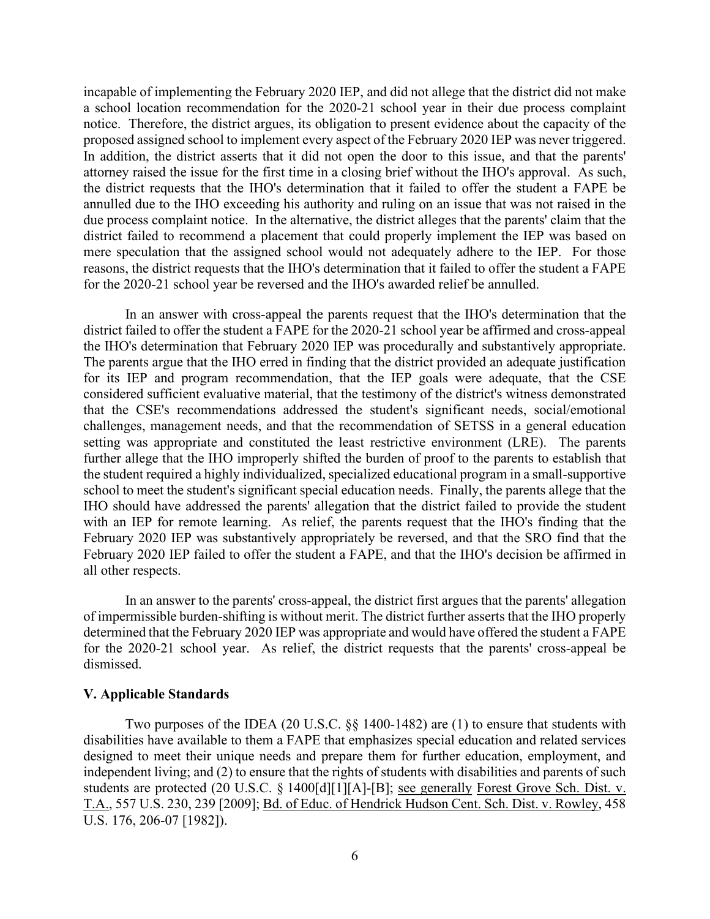incapable of implementing the February 2020 IEP, and did not allege that the district did not make attorney raised the issue for the first time in a closing brief without the IHO's approval. As such, the district requests that the IHO's determination that it failed to offer the student a FAPE be due process complaint notice. In the alternative, the district alleges that the parents' claim that the district failed to recommend a placement that could properly implement the IEP was based on for the 2020-21 school year be reversed and the IHO's awarded relief be annulled. a school location recommendation for the 2020-21 school year in their due process complaint notice. Therefore, the district argues, its obligation to present evidence about the capacity of the proposed assigned school to implement every aspect of the February 2020 IEP was never triggered. In addition, the district asserts that it did not open the door to this issue, and that the parents' annulled due to the IHO exceeding his authority and ruling on an issue that was not raised in the mere speculation that the assigned school would not adequately adhere to the IEP. For those reasons, the district requests that the IHO's determination that it failed to offer the student a FAPE

 The parents argue that the IHO erred in finding that the district provided an adequate justification setting was appropriate and constituted the least restrictive environment (LRE). The parents In an answer with cross-appeal the parents request that the IHO's determination that the district failed to offer the student a FAPE for the 2020-21 school year be affirmed and cross-appeal the IHO's determination that February 2020 IEP was procedurally and substantively appropriate. for its IEP and program recommendation, that the IEP goals were adequate, that the CSE considered sufficient evaluative material, that the testimony of the district's witness demonstrated that the CSE's recommendations addressed the student's significant needs, social/emotional challenges, management needs, and that the recommendation of SETSS in a general education further allege that the IHO improperly shifted the burden of proof to the parents to establish that the student required a highly individualized, specialized educational program in a small-supportive school to meet the student's significant special education needs. Finally, the parents allege that the IHO should have addressed the parents' allegation that the district failed to provide the student with an IEP for remote learning. As relief, the parents request that the IHO's finding that the February 2020 IEP was substantively appropriately be reversed, and that the SRO find that the February 2020 IEP failed to offer the student a FAPE, and that the IHO's decision be affirmed in all other respects.

In an answer to the parents' cross-appeal, the district first argues that the parents' allegation of impermissible burden-shifting is without merit. The district further asserts that the IHO properly determined that the February 2020 IEP was appropriate and would have offered the student a FAPE for the 2020-21 school year. As relief, the district requests that the parents' cross-appeal be dismissed.

#### **V. Applicable Standards**

Two purposes of the IDEA (20 U.S.C. §§ 1400-1482) are (1) to ensure that students with disabilities have available to them a FAPE that emphasizes special education and related services designed to meet their unique needs and prepare them for further education, employment, and independent living; and (2) to ensure that the rights of students with disabilities and parents of such students are protected (20 U.S.C. § 1400[d][1][A]-[B]; see generally Forest Grove Sch. Dist. v. T.A., 557 U.S. 230, 239 [2009]; Bd. of Educ. of Hendrick Hudson Cent. Sch. Dist. v. Rowley, 458 U.S. 176, 206-07 [1982]).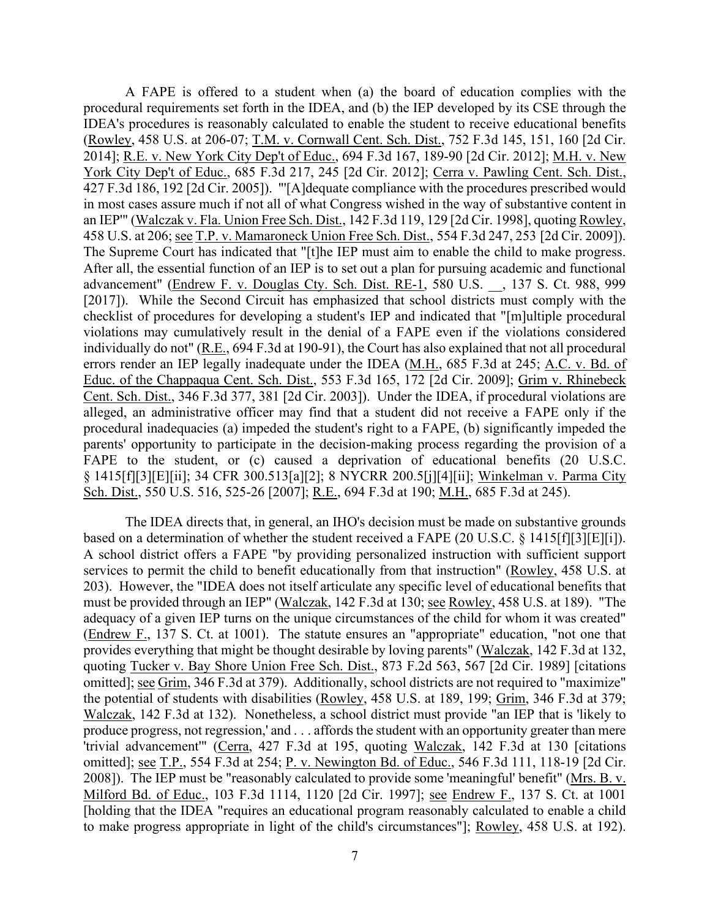A FAPE is offered to a student when (a) the board of education complies with the 2014]; <u>R.E. v. New York City Dep't of Educ.</u>, 694 F.3d 167, 189-90 [2d Cir. 2012]; <u>M.H. v. New</u> 458 U.S. at 206; see T.P. v. Mamaroneck Union Free Sch. Dist., 554 F.3d 247, 253 [2d Cir. 2009]). errors render an IEP legally inadequate under the IDEA (M.H., 685 F.3d at 245; A.C. v. Bd. of parents' opportunity to participate in the decision-making process regarding the provision of a procedural requirements set forth in the IDEA, and (b) the IEP developed by its CSE through the IDEA's procedures is reasonably calculated to enable the student to receive educational benefits (Rowley, 458 U.S. at 206-07; T.M. v. Cornwall Cent. Sch. Dist., 752 F.3d 145, 151, 160 [2d Cir. York City Dep't of Educ., 685 F.3d 217, 245 [2d Cir. 2012]; Cerra v. Pawling Cent. Sch. Dist., 427 F.3d 186, 192 [2d Cir. 2005]). "'[A]dequate compliance with the procedures prescribed would in most cases assure much if not all of what Congress wished in the way of substantive content in an IEP'" (Walczak v. Fla. Union Free Sch. Dist., 142 F.3d 119, 129 [2d Cir. 1998], quoting Rowley, The Supreme Court has indicated that "[t]he IEP must aim to enable the child to make progress. After all, the essential function of an IEP is to set out a plan for pursuing academic and functional advancement" (Endrew F. v. Douglas Cty. Sch. Dist. RE-1, 580 U.S. \_\_, 137 S. Ct. 988, 999 [2017]). While the Second Circuit has emphasized that school districts must comply with the checklist of procedures for developing a student's IEP and indicated that "[m]ultiple procedural violations may cumulatively result in the denial of a FAPE even if the violations considered individually do not" (R.E., 694 F.3d at 190-91), the Court has also explained that not all procedural Educ. of the Chappaqua Cent. Sch. Dist., 553 F.3d 165, 172 [2d Cir. 2009]; Grim v. Rhinebeck Cent. Sch. Dist., 346 F.3d 377, 381 [2d Cir. 2003]). Under the IDEA, if procedural violations are alleged, an administrative officer may find that a student did not receive a FAPE only if the procedural inadequacies (a) impeded the student's right to a FAPE, (b) significantly impeded the FAPE to the student, or (c) caused a deprivation of educational benefits (20 U.S.C. § 1415[f][3][E][ii]; 34 CFR 300.513[a][2]; 8 NYCRR 200.5[j][4][ii]; Winkelman v. Parma City Sch. Dist., 550 U.S. 516, 525-26 [2007]; R.E., 694 F.3d at 190; M.H., 685 F.3d at 245).

based on a determination of whether the student received a FAPE  $(20 \text{ U.S.C. } 8 \text{ 1415}[\text{f}][3][\text{E}][i])$ . adequacy of a given IEP turns on the unique circumstances of the child for whom it was created" produce progress, not regression,' and . . . affords the student with an opportunity greater than mere The IDEA directs that, in general, an IHO's decision must be made on substantive grounds A school district offers a FAPE "by providing personalized instruction with sufficient support services to permit the child to benefit educationally from that instruction" (Rowley, 458 U.S. at 203). However, the "IDEA does not itself articulate any specific level of educational benefits that must be provided through an IEP" (Walczak, 142 F.3d at 130; see Rowley, 458 U.S. at 189). "The (Endrew F., 137 S. Ct. at 1001). The statute ensures an "appropriate" education, "not one that provides everything that might be thought desirable by loving parents" (Walczak, 142 F.3d at 132, quoting Tucker v. Bay Shore Union Free Sch. Dist., 873 F.2d 563, 567 [2d Cir. 1989] [citations omitted]; see Grim, 346 F.3d at 379). Additionally, school districts are not required to "maximize" the potential of students with disabilities (Rowley, 458 U.S. at 189, 199; Grim, 346 F.3d at 379; Walczak, 142 F.3d at 132). Nonetheless, a school district must provide "an IEP that is 'likely to 'trivial advancement'" (Cerra, 427 F.3d at 195, quoting Walczak, 142 F.3d at 130 [citations omitted]; see T.P., 554 F.3d at 254; P. v. Newington Bd. of Educ., 546 F.3d 111, 118-19 [2d Cir. 2008]). The IEP must be "reasonably calculated to provide some 'meaningful' benefit" (Mrs. B. v. Milford Bd. of Educ., 103 F.3d 1114, 1120 [2d Cir. 1997]; see Endrew F., 137 S. Ct. at 1001 [holding that the IDEA "requires an educational program reasonably calculated to enable a child to make progress appropriate in light of the child's circumstances"]; Rowley, 458 U.S. at 192).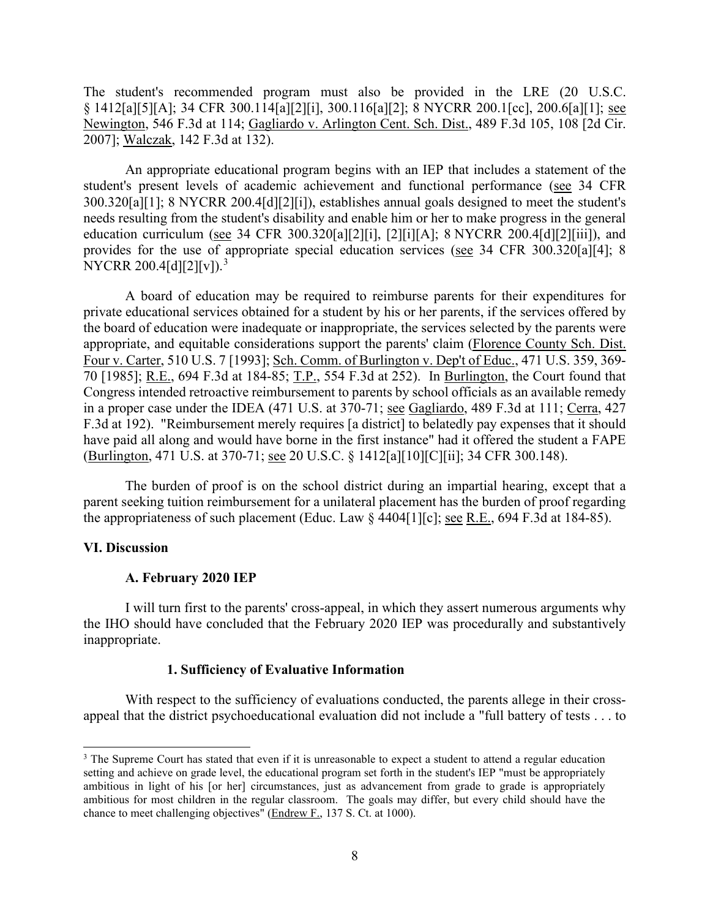The student's recommended program must also be provided in the LRE (20 U.S.C. § 1412[a][5][A]; 34 CFR 300.114[a][2][i], 300.116[a][2]; 8 NYCRR 200.1[cc], 200.6[a][1]; see Newington, 546 F.3d at 114; Gagliardo v. Arlington Cent. Sch. Dist., 489 F.3d 105, 108 [2d Cir. 2007]; Walczak, 142 F.3d at 132).

education curriculum (see 34 CFR 300.320[a][2][i], [2][i][A]; 8 NYCRR 200.4[d][2][iii]), and An appropriate educational program begins with an IEP that includes a statement of the student's present levels of academic achievement and functional performance (see 34 CFR 300.320[a][1]; 8 NYCRR 200.4[d][2][i]), establishes annual goals designed to meet the student's needs resulting from the student's disability and enable him or her to make progress in the general provides for the use of appropriate special education services (see 34 CFR 300.320[a][4]; 8 NYCRR 200.4[d][2][v]).<sup>3</sup>

 70 [1985]; R.E., 694 F.3d at 184-85; T.P., 554 F.3d at 252). In Burlington, the Court found that in a proper case under the IDEA (471 U.S. at 370-71; see Gagliardo, 489 F.3d at 111; Cerra, 427 (Burlington, 471 U.S. at 370-71; <u>see</u> 20 U.S.C. § 1412[a][10][C][ii]; 34 CFR 300.148). A board of education may be required to reimburse parents for their expenditures for private educational services obtained for a student by his or her parents, if the services offered by the board of education were inadequate or inappropriate, the services selected by the parents were appropriate, and equitable considerations support the parents' claim (Florence County Sch. Dist. Four v. Carter, 510 U.S. 7 [1993]; Sch. Comm. of Burlington v. Dep't of Educ., 471 U.S. 359, 369- Congress intended retroactive reimbursement to parents by school officials as an available remedy F.3d at 192). "Reimbursement merely requires [a district] to belatedly pay expenses that it should have paid all along and would have borne in the first instance" had it offered the student a FAPE

the appropriateness of such placement (Educ. Law  $\S$  4404[1][c]; <u>see R.E.</u>, 694 F.3d at 184-85). The burden of proof is on the school district during an impartial hearing, except that a parent seeking tuition reimbursement for a unilateral placement has the burden of proof regarding

## **VI. Discussion**

#### **A. February 2020 IEP**

 I will turn first to the parents' cross-appeal, in which they assert numerous arguments why the IHO should have concluded that the February 2020 IEP was procedurally and substantively inappropriate.

## **1. Sufficiency of Evaluative Information**

 appeal that the district psychoeducational evaluation did not include a "full battery of tests . . . to With respect to the sufficiency of evaluations conducted, the parents allege in their cross-

<span id="page-7-0"></span> ambitious in light of his [or her] circumstances, just as advancement from grade to grade is appropriately <sup>3</sup> The Supreme Court has stated that even if it is unreasonable to expect a student to attend a regular education setting and achieve on grade level, the educational program set forth in the student's IEP "must be appropriately ambitious for most children in the regular classroom. The goals may differ, but every child should have the chance to meet challenging objectives" (Endrew F., 137 S. Ct. at 1000).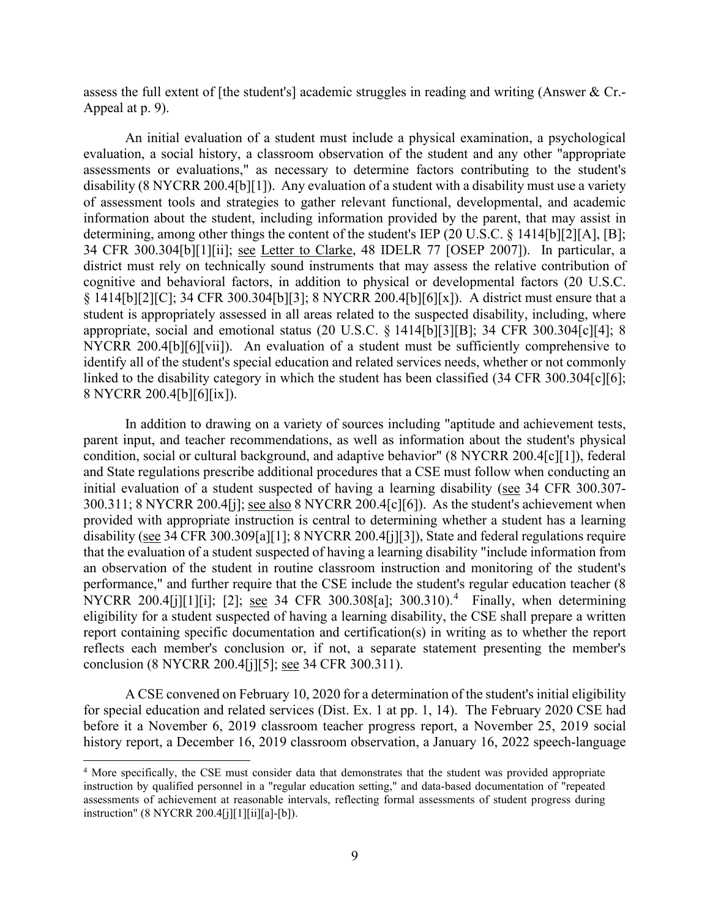assess the full extent of [the student's] academic struggles in reading and writing (Answer & Cr.- Appeal at p. 9).

 § 1414[b][2][C]; 34 CFR 300.304[b][3]; 8 NYCRR 200.4[b][6][x]). A district must ensure that a An initial evaluation of a student must include a physical examination, a psychological evaluation, a social history, a classroom observation of the student and any other "appropriate assessments or evaluations," as necessary to determine factors contributing to the student's disability (8 NYCRR 200.4[b][1]). Any evaluation of a student with a disability must use a variety of assessment tools and strategies to gather relevant functional, developmental, and academic information about the student, including information provided by the parent, that may assist in determining, among other things the content of the student's IEP (20 U.S.C. § 1414[b][2][A], [B]; 34 CFR 300.304[b][1][ii]; see Letter to Clarke, 48 IDELR 77 [OSEP 2007]). In particular, a district must rely on technically sound instruments that may assess the relative contribution of cognitive and behavioral factors, in addition to physical or developmental factors (20 U.S.C. student is appropriately assessed in all areas related to the suspected disability, including, where appropriate, social and emotional status (20 U.S.C. § 1414[b][3][B]; 34 CFR 300.304[c][4]; 8 NYCRR 200.4[b][6][vii]). An evaluation of a student must be sufficiently comprehensive to identify all of the student's special education and related services needs, whether or not commonly linked to the disability category in which the student has been classified (34 CFR 300.304[c][6]; 8 NYCRR 200.4[b][6][ix]).

300.311; 8 NYCRR 200.4[j]; see also 8 NYCRR 200.4[c][6]). As the student's achievement when disability (see 34 CFR 300.309[a][1]; 8 NYCRR 200.4[j][3]), State and federal regulations require NYCRR 200.[4](#page-8-0)[j][1][i]; [2]; <u>see</u> 34 CFR 300.308[a]; 300.310).<sup>4</sup> Finally, when determining eligibility for a student suspected of having a learning disability, the CSE shall prepare a written conclusion (8 NYCRR 200.4[j][5]; <u>see</u> 34 CFR 300.311). In addition to drawing on a variety of sources including "aptitude and achievement tests, parent input, and teacher recommendations, as well as information about the student's physical condition, social or cultural background, and adaptive behavior" (8 NYCRR 200.4[c][1]), federal and State regulations prescribe additional procedures that a CSE must follow when conducting an initial evaluation of a student suspected of having a learning disability (see 34 CFR 300.307 provided with appropriate instruction is central to determining whether a student has a learning that the evaluation of a student suspected of having a learning disability "include information from an observation of the student in routine classroom instruction and monitoring of the student's performance," and further require that the CSE include the student's regular education teacher (8 report containing specific documentation and certification(s) in writing as to whether the report reflects each member's conclusion or, if not, a separate statement presenting the member's

A CSE convened on February 10, 2020 for a determination of the student's initial eligibility for special education and related services (Dist. Ex. 1 at pp. 1, 14). The February 2020 CSE had before it a November 6, 2019 classroom teacher progress report, a November 25, 2019 social history report, a December 16, 2019 classroom observation, a January 16, 2022 speech-language

<span id="page-8-0"></span><sup>&</sup>lt;sup>4</sup> More specifically, the CSE must consider data that demonstrates that the student was provided appropriate assessments of achievement at reasonable intervals, reflecting formal assessments of student progress during instruction by qualified personnel in a "regular education setting," and data-based documentation of "repeated instruction" (8 NYCRR 200.4[j][1][ii][a]-[b]).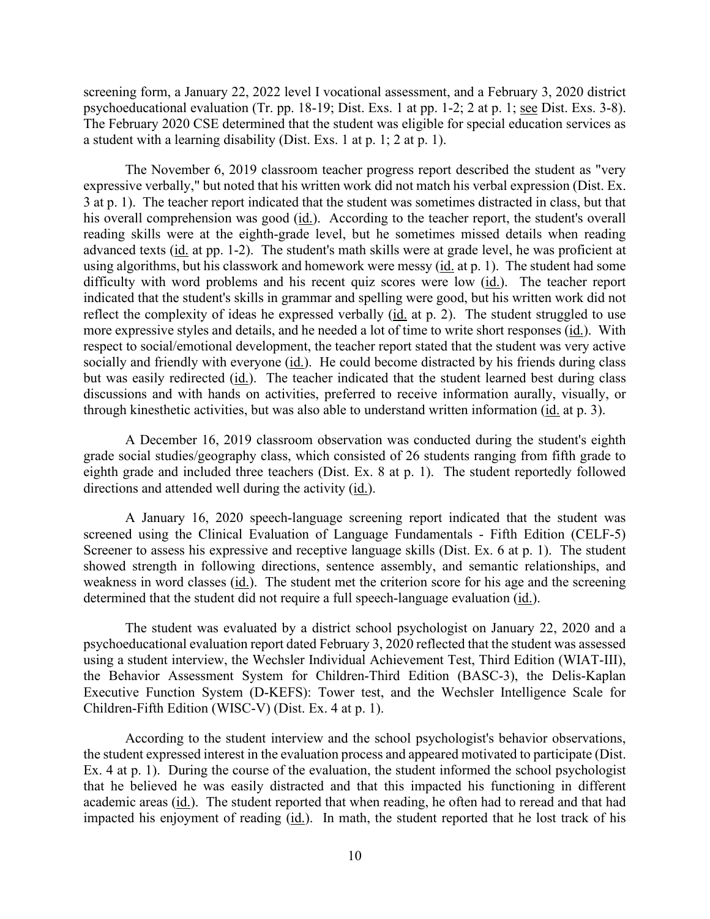a student with a learning disability (Dist. Exs. 1 at p. 1; 2 at p. 1). screening form, a January 22, 2022 level I vocational assessment, and a February 3, 2020 district psychoeducational evaluation (Tr. pp. 18-19; Dist. Exs. 1 at pp. 1-2; 2 at p. 1; see Dist. Exs. 3-8). The February 2020 CSE determined that the student was eligible for special education services as

 expressive verbally," but noted that his written work did not match his verbal expression (Dist. Ex. his overall comprehension was good (id.). According to the teacher report, the student's overall using algorithms, but his classwork and homework were messy (id. at p. 1). The student had some more expressive styles and details, and he needed a lot of time to write short responses (id.). With but was easily redirected (id.). The teacher indicated that the student learned best during class through kinesthetic activities, but was also able to understand written information (id. at p. 3). The November 6, 2019 classroom teacher progress report described the student as "very 3 at p. 1). The teacher report indicated that the student was sometimes distracted in class, but that reading skills were at the eighth-grade level, but he sometimes missed details when reading advanced texts (id. at pp. 1-2). The student's math skills were at grade level, he was proficient at difficulty with word problems and his recent quiz scores were low (id.). The teacher report indicated that the student's skills in grammar and spelling were good, but his written work did not reflect the complexity of ideas he expressed verbally (id. at p. 2). The student struggled to use respect to social/emotional development, the teacher report stated that the student was very active socially and friendly with everyone (id.). He could become distracted by his friends during class discussions and with hands on activities, preferred to receive information aurally, visually, or

 grade social studies/geography class, which consisted of 26 students ranging from fifth grade to eighth grade and included three teachers (Dist. Ex. 8 at p. 1). The student reportedly followed A December 16, 2019 classroom observation was conducted during the student's eighth directions and attended well during the activity  $(id)$ .

A January 16, 2020 speech-language screening report indicated that the student was screened using the Clinical Evaluation of Language Fundamentals - Fifth Edition (CELF-5) Screener to assess his expressive and receptive language skills (Dist. Ex. 6 at p. 1). The student showed strength in following directions, sentence assembly, and semantic relationships, and weakness in word classes (id.). The student met the criterion score for his age and the screening determined that the student did not require a full speech-language evaluation (id.).

 Children-Fifth Edition (WISC-V) (Dist. Ex. 4 at p. 1). The student was evaluated by a district school psychologist on January 22, 2020 and a psychoeducational evaluation report dated February 3, 2020 reflected that the student was assessed using a student interview, the Wechsler Individual Achievement Test, Third Edition (WIAT-III), the Behavior Assessment System for Children-Third Edition (BASC-3), the Delis-Kaplan Executive Function System (D-KEFS): Tower test, and the Wechsler Intelligence Scale for

According to the student interview and the school psychologist's behavior observations, the student expressed interest in the evaluation process and appeared motivated to participate (Dist. Ex. 4 at p. 1). During the course of the evaluation, the student informed the school psychologist that he believed he was easily distracted and that this impacted his functioning in different academic areas (id.). The student reported that when reading, he often had to reread and that had impacted his enjoyment of reading (id.). In math, the student reported that he lost track of his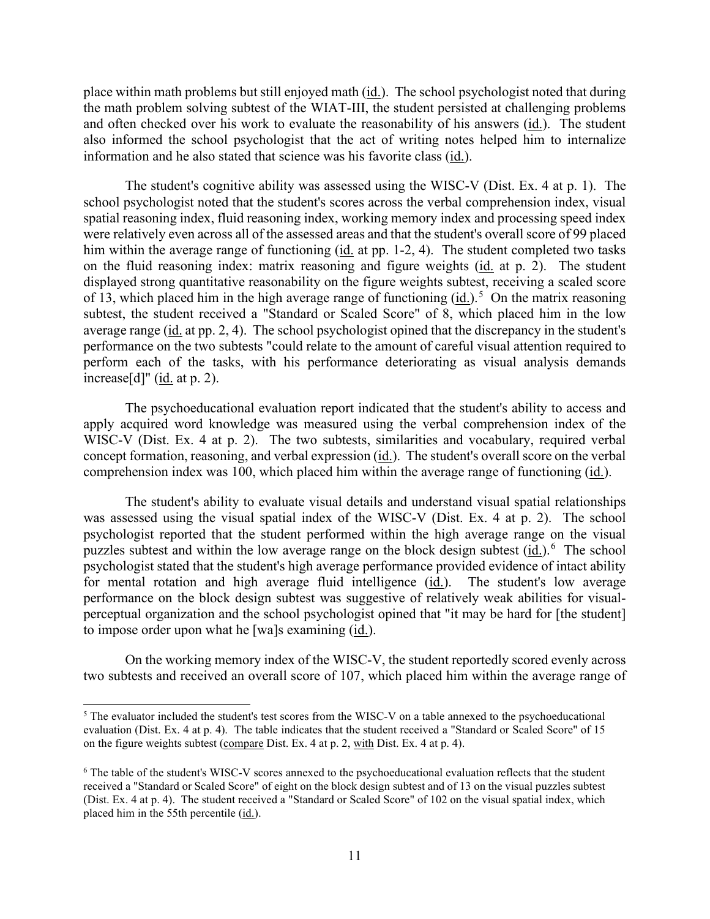place within math problems but still enjoyed math (id.). The school psychologist noted that during the math problem solving subtest of the WIAT-III, the student persisted at challenging problems and often checked over his work to evaluate the reasonability of his answers (id.). The student also informed the school psychologist that the act of writing notes helped him to internalize information and he also stated that science was his favorite class (id.).

him within the average range of functioning (id. at pp. 1-2, 4). The student completed two tasks of 13, which placed him in the high average range of functioning  $(id.)$ <sup>5</sup> On the matrix reasoning increase[d]"  $(id.$  at p. 2). The student's cognitive ability was assessed using the WISC-V (Dist. Ex. 4 at p. 1). The school psychologist noted that the student's scores across the verbal comprehension index, visual spatial reasoning index, fluid reasoning index, working memory index and processing speed index were relatively even across all of the assessed areas and that the student's overall score of 99 placed on the fluid reasoning index: matrix reasoning and figure weights (id. at p. 2). The student displayed strong quantitative reasonability on the figure weights subtest, receiving a scaled score subtest, the student received a "Standard or Scaled Score" of 8, which placed him in the low average range (id. at pp. 2, 4). The school psychologist opined that the discrepancy in the student's performance on the two subtests "could relate to the amount of careful visual attention required to perform each of the tasks, with his performance deteriorating as visual analysis demands

The psychoeducational evaluation report indicated that the student's ability to access and apply acquired word knowledge was measured using the verbal comprehension index of the WISC-V (Dist. Ex. 4 at p. 2). The two subtests, similarities and vocabulary, required verbal concept formation, reasoning, and verbal expression (id.). The student's overall score on the verbal comprehension index was 100, which placed him within the average range of functioning (id.).

puzzles subtest and within the low average range on the block design subtest  $(id.)$ <sup>[6](#page-10-1)</sup> The school The student's ability to evaluate visual details and understand visual spatial relationships was assessed using the visual spatial index of the WISC-V (Dist. Ex. 4 at p. 2). The school psychologist reported that the student performed within the high average range on the visual psychologist stated that the student's high average performance provided evidence of intact ability for mental rotation and high average fluid intelligence (id.). The student's low average performance on the block design subtest was suggestive of relatively weak abilities for visualperceptual organization and the school psychologist opined that "it may be hard for [the student] to impose order upon what he [wa]s examining (id.).

 two subtests and received an overall score of 107, which placed him within the average range of On the working memory index of the WISC-V, the student reportedly scored evenly across

<span id="page-10-0"></span> evaluation (Dist. Ex. 4 at p. 4). The table indicates that the student received a "Standard or Scaled Score" of 15 on the figure weights subtest (compare Dist. Ex. 4 at p. 2, with Dist. Ex. 4 at p. 4). <sup>5</sup> The evaluator included the student's test scores from the WISC-V on a table annexed to the psychoeducational

<span id="page-10-1"></span><sup>6</sup> The table of the student's WISC-V scores annexed to the psychoeducational evaluation reflects that the student received a "Standard or Scaled Score" of eight on the block design subtest and of 13 on the visual puzzles subtest (Dist. Ex. 4 at p. 4). The student received a "Standard or Scaled Score" of 102 on the visual spatial index, which placed him in the 55th percentile (id.).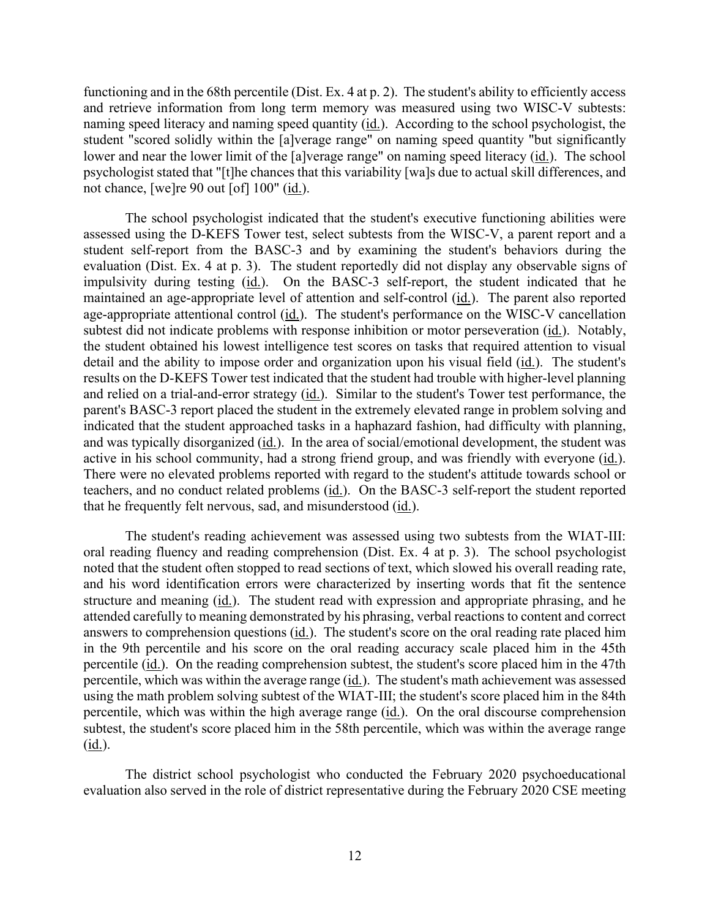functioning and in the 68th percentile (Dist. Ex. 4 at p. 2). The student's ability to efficiently access lower and near the lower limit of the [a]verage range" on naming speed literacy (id.). The school not chance, [we]re 90 out [of] 100" (id.). and retrieve information from long term memory was measured using two WISC-V subtests: naming speed literacy and naming speed quantity (id.). According to the school psychologist, the student "scored solidly within the [a]verage range" on naming speed quantity "but significantly psychologist stated that "[t]he chances that this variability [wa]s due to actual skill differences, and

 assessed using the D-KEFS Tower test, select subtests from the WISC-V, a parent report and a maintained an age-appropriate level of attention and self-control (id.). The parent also reported and relied on a trial-and-error strategy (id.). Similar to the student's Tower test performance, the and was typically disorganized (id.). In the area of social/emotional development, the student was active in his school community, had a strong friend group, and was friendly with everyone (id.). active in his school community, had a strong friend group, and was friendly with everyone (<u>id.</u>). There were no elevated problems reported with regard to the student's attitude towards school or The school psychologist indicated that the student's executive functioning abilities were student self-report from the BASC-3 and by examining the student's behaviors during the evaluation (Dist. Ex. 4 at p. 3). The student reportedly did not display any observable signs of impulsivity during testing (id.). On the BASC-3 self-report, the student indicated that he age-appropriate attentional control (id.). The student's performance on the WISC-V cancellation subtest did not indicate problems with response inhibition or motor perseveration (id.). Notably, the student obtained his lowest intelligence test scores on tasks that required attention to visual detail and the ability to impose order and organization upon his visual field (id.). The student's results on the D-KEFS Tower test indicated that the student had trouble with higher-level planning parent's BASC-3 report placed the student in the extremely elevated range in problem solving and indicated that the student approached tasks in a haphazard fashion, had difficulty with planning, teachers, and no conduct related problems (id.). On the BASC-3 self-report the student reported that he frequently felt nervous, sad, and misunderstood (id.).

 noted that the student often stopped to read sections of text, which slowed his overall reading rate, subtest, the student's score placed him in the 58th percentile, which was within the average range  $(\underline{\mathsf{id}})$ . The student's reading achievement was assessed using two subtests from the WIAT-III: oral reading fluency and reading comprehension (Dist. Ex. 4 at p. 3). The school psychologist and his word identification errors were characterized by inserting words that fit the sentence structure and meaning  $(id)$ . The student read with expression and appropriate phrasing, and he attended carefully to meaning demonstrated by his phrasing, verbal reactions to content and correct answers to comprehension questions (id.). The student's score on the oral reading rate placed him in the 9th percentile and his score on the oral reading accuracy scale placed him in the 45th percentile (id.). On the reading comprehension subtest, the student's score placed him in the 47th percentile, which was within the average range (id.). The student's math achievement was assessed using the math problem solving subtest of the WIAT-III; the student's score placed him in the 84th percentile, which was within the high average range (id.). On the oral discourse comprehension

The district school psychologist who conducted the February 2020 psychoeducational evaluation also served in the role of district representative during the February 2020 CSE meeting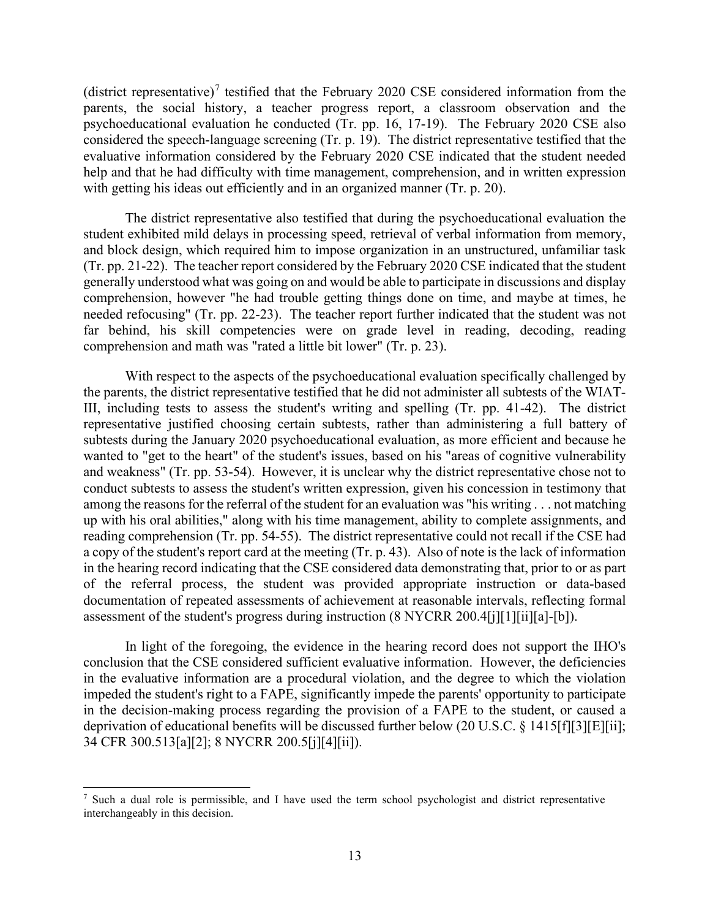parents, the social history, a teacher progress report, a classroom observation and the (district representative)<sup>7</sup> testified that the February 2020 CSE considered information from the psychoeducational evaluation he conducted (Tr. pp. 16, 17-19). The February 2020 CSE also considered the speech-language screening (Tr. p. 19). The district representative testified that the evaluative information considered by the February 2020 CSE indicated that the student needed help and that he had difficulty with time management, comprehension, and in written expression with getting his ideas out efficiently and in an organized manner (Tr. p. 20).

 (Tr. pp. 21-22). The teacher report considered by the February 2020 CSE indicated that the student comprehension and math was "rated a little bit lower" (Tr. p. 23). The district representative also testified that during the psychoeducational evaluation the student exhibited mild delays in processing speed, retrieval of verbal information from memory, and block design, which required him to impose organization in an unstructured, unfamiliar task generally understood what was going on and would be able to participate in discussions and display comprehension, however "he had trouble getting things done on time, and maybe at times, he needed refocusing" (Tr. pp. 22-23). The teacher report further indicated that the student was not far behind, his skill competencies were on grade level in reading, decoding, reading

 the parents, the district representative testified that he did not administer all subtests of the WIAT- subtests during the January 2020 psychoeducational evaluation, as more efficient and because he among the reasons for the referral of the student for an evaluation was "his writing . . . not matching reading comprehension (Tr. pp. 54-55). The district representative could not recall if the CSE had With respect to the aspects of the psychoeducational evaluation specifically challenged by III, including tests to assess the student's writing and spelling (Tr. pp. 41-42). The district representative justified choosing certain subtests, rather than administering a full battery of wanted to "get to the heart" of the student's issues, based on his "areas of cognitive vulnerability and weakness" (Tr. pp. 53-54). However, it is unclear why the district representative chose not to conduct subtests to assess the student's written expression, given his concession in testimony that up with his oral abilities," along with his time management, ability to complete assignments, and a copy of the student's report card at the meeting (Tr. p. 43). Also of note is the lack of information in the hearing record indicating that the CSE considered data demonstrating that, prior to or as part of the referral process, the student was provided appropriate instruction or data-based documentation of repeated assessments of achievement at reasonable intervals, reflecting formal assessment of the student's progress during instruction (8 NYCRR 200.4[j][1][ii][a]-[b]).

 In light of the foregoing, the evidence in the hearing record does not support the IHO's conclusion that the CSE considered sufficient evaluative information. However, the deficiencies in the evaluative information are a procedural violation, and the degree to which the violation impeded the student's right to a FAPE, significantly impede the parents' opportunity to participate in the decision-making process regarding the provision of a FAPE to the student, or caused a deprivation of educational benefits will be discussed further below (20 U.S.C. § 1415[f][3][E][ii]; 34 CFR 300.513[a][2]; 8 NYCRR 200.5[j][4][ii]).

<span id="page-12-0"></span><sup>7</sup> Such a dual role is permissible, and I have used the term school psychologist and district representative interchangeably in this decision.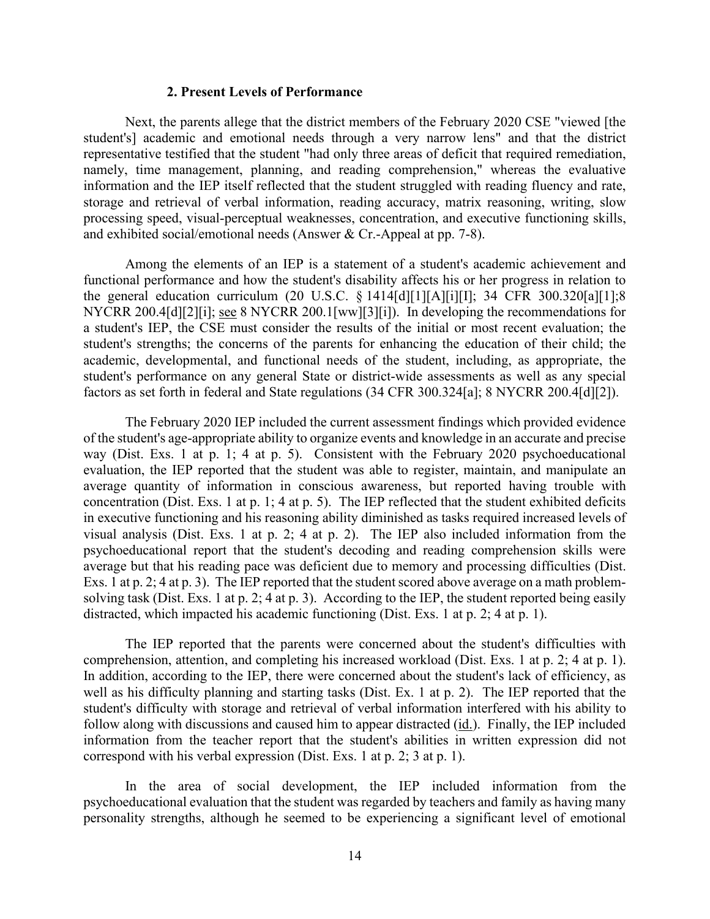## **2. Present Levels of Performance**

 information and the IEP itself reflected that the student struggled with reading fluency and rate, and exhibited social/emotional needs (Answer & Cr.-Appeal at pp. 7-8). Next, the parents allege that the district members of the February 2020 CSE "viewed [the student's] academic and emotional needs through a very narrow lens" and that the district representative testified that the student "had only three areas of deficit that required remediation, namely, time management, planning, and reading comprehension," whereas the evaluative storage and retrieval of verbal information, reading accuracy, matrix reasoning, writing, slow processing speed, visual-perceptual weaknesses, concentration, and executive functioning skills,

NYCRR 200.4[d][2][i]; <u>see</u> 8 NYCRR 200.1[ww][3][i]). In developing the recommendations for Among the elements of an IEP is a statement of a student's academic achievement and functional performance and how the student's disability affects his or her progress in relation to the general education curriculum (20 U.S.C. § 1414[d][1][A][i][I]; 34 CFR 300.320[a][1];8 a student's IEP, the CSE must consider the results of the initial or most recent evaluation; the student's strengths; the concerns of the parents for enhancing the education of their child; the academic, developmental, and functional needs of the student, including, as appropriate, the student's performance on any general State or district-wide assessments as well as any special

 factors as set forth in federal and State regulations (34 CFR 300.324[a]; 8 NYCRR 200.4[d][2]). The February 2020 IEP included the current assessment findings which provided evidence The February 2020 IEP included the current assessment findings which provided evidence of the student's age-appropriate ability to organize events and knowledge in an accurate and precise evaluation, the IEP reported that the student was able to register, maintain, and manipulate an average but that his reading pace was deficient due to memory and processing difficulties (Dist. solving task (Dist. Exs. 1 at p. 2; 4 at p. 3). According to the IEP, the student reported being easily way (Dist. Exs. 1 at p. 1; 4 at p. 5). Consistent with the February 2020 psychoeducational average quantity of information in conscious awareness, but reported having trouble with concentration (Dist. Exs. 1 at p. 1; 4 at p. 5). The IEP reflected that the student exhibited deficits in executive functioning and his reasoning ability diminished as tasks required increased levels of visual analysis (Dist. Exs. 1 at p. 2; 4 at p. 2). The IEP also included information from the psychoeducational report that the student's decoding and reading comprehension skills were Exs. 1 at p. 2; 4 at p. 3). The IEP reported that the student scored above average on a math problemdistracted, which impacted his academic functioning (Dist. Exs. 1 at p. 2; 4 at p. 1).

comprehension, attention, and completing his increased workload (Dist. Exs. 1 at p. 2; 4 at p. 1). comprehension, attention, and completing his increased workload (Dist. Exs. 1 at p. 2; 4 at p. 1). In addition, according to the IEP, there were concerned about the student's lack of efficiency, as student's difficulty with storage and retrieval of verbal information interfered with his ability to The IEP reported that the parents were concerned about the student's difficulties with well as his difficulty planning and starting tasks (Dist. Ex. 1 at p. 2). The IEP reported that the follow along with discussions and caused him to appear distracted (id.). Finally, the IEP included information from the teacher report that the student's abilities in written expression did not correspond with his verbal expression (Dist. Exs. 1 at p. 2; 3 at p. 1).

In the area of social development, the IEP included information from the psychoeducational evaluation that the student was regarded by teachers and family as having many personality strengths, although he seemed to be experiencing a significant level of emotional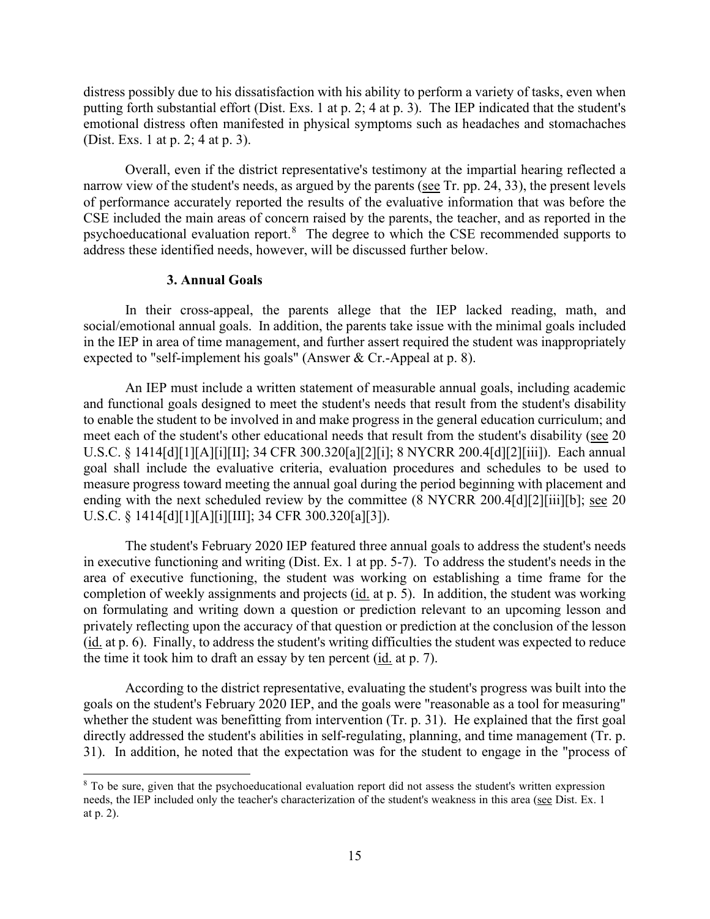putting forth substantial effort (Dist. Exs. 1 at p. 2; 4 at p. 3). The IEP indicated that the student's (Dist. Exs. 1 at p. 2; 4 at p. 3). distress possibly due to his dissatisfaction with his ability to perform a variety of tasks, even when emotional distress often manifested in physical symptoms such as headaches and stomachaches

narrow view of the student's needs, as argued by the parents (see Tr. pp. 24, 33), the present levels psychoeducational evaluation report.<sup>8</sup> The degree to which the CSE recommended supports to Overall, even if the district representative's testimony at the impartial hearing reflected a of performance accurately reported the results of the evaluative information that was before the CSE included the main areas of concern raised by the parents, the teacher, and as reported in the address these identified needs, however, will be discussed further below.

## **3. Annual Goals**

 social/emotional annual goals. In addition, the parents take issue with the minimal goals included In their cross-appeal, the parents allege that the IEP lacked reading, math, and in the IEP in area of time management, and further assert required the student was inappropriately expected to "self-implement his goals" (Answer & Cr.-Appeal at p. 8).

meet each of the student's other educational needs that result from the student's disability (see 20 ending with the next scheduled review by the committee (8 NYCRR 200.4[d][2][iii][b]; <u>see</u> 20 An IEP must include a written statement of measurable annual goals, including academic and functional goals designed to meet the student's needs that result from the student's disability to enable the student to be involved in and make progress in the general education curriculum; and U.S.C. § 1414[d][1][A][i][II]; 34 CFR 300.320[a][2][i]; 8 NYCRR 200.4[d][2][iii]). Each annual goal shall include the evaluative criteria, evaluation procedures and schedules to be used to measure progress toward meeting the annual goal during the period beginning with placement and U.S.C. § 1414[d][1][A][i][III]; 34 CFR 300.320[a][3]).

completion of weekly assignments and projects (id. at p. 5). In addition, the student was working the time it took him to draft an essay by ten percent  $(i_d$  at p. 7). The student's February 2020 IEP featured three annual goals to address the student's needs in executive functioning and writing (Dist. Ex. 1 at pp. 5-7). To address the student's needs in the area of executive functioning, the student was working on establishing a time frame for the on formulating and writing down a question or prediction relevant to an upcoming lesson and privately reflecting upon the accuracy of that question or prediction at the conclusion of the lesson (id. at p. 6). Finally, to address the student's writing difficulties the student was expected to reduce

 goals on the student's February 2020 IEP, and the goals were "reasonable as a tool for measuring" whether the student was benefitting from intervention (Tr. p. 31). He explained that the first goal According to the district representative, evaluating the student's progress was built into the directly addressed the student's abilities in self-regulating, planning, and time management (Tr. p. 31). In addition, he noted that the expectation was for the student to engage in the "process of

<span id="page-14-0"></span>needs, the IEP included only the teacher's characterization of the student's weakness in this area (see Dist. Ex. 1 <sup>8</sup> To be sure, given that the psychoeducational evaluation report did not assess the student's written expression at p. 2).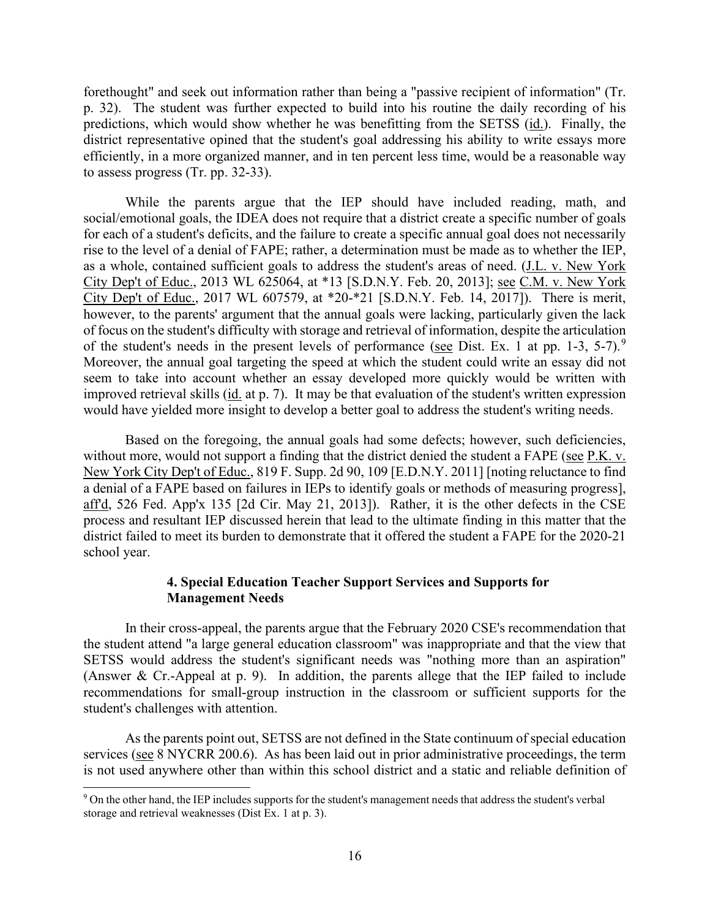predictions, which would show whether he was benefitting from the SETSS (id.). Finally, the forethought" and seek out information rather than being a "passive recipient of information" (Tr. p. 32). The student was further expected to build into his routine the daily recording of his district representative opined that the student's goal addressing his ability to write essays more efficiently, in a more organized manner, and in ten percent less time, would be a reasonable way to assess progress (Tr. pp. 32-33).

of the student's needs in the present levels of performance (see Dist. Ex. 1 at pp. 1-3, 5-7).<sup>9</sup> Moreover, the annual goal targeting the speed at which the student could write an essay did not seem to take into account whether an essay developed more quickly would be written with While the parents argue that the IEP should have included reading, math, and social/emotional goals, the IDEA does not require that a district create a specific number of goals for each of a student's deficits, and the failure to create a specific annual goal does not necessarily rise to the level of a denial of FAPE; rather, a determination must be made as to whether the IEP, as a whole, contained sufficient goals to address the student's areas of need. (J.L. v. New York City Dep't of Educ., 2013 WL 625064, at \*13 [S.D.N.Y. Feb. 20, 2013]; see C.M. v. New York City Dep't of Educ., 2017 WL 607579, at \*20-\*21 [S.D.N.Y. Feb. 14, 2017]). There is merit, however, to the parents' argument that the annual goals were lacking, particularly given the lack of focus on the student's difficulty with storage and retrieval of information, despite the articulation improved retrieval skills (id. at p. 7). It may be that evaluation of the student's written expression would have yielded more insight to develop a better goal to address the student's writing needs.

without more, would not support a finding that the district denied the student a FAPE (see P.K. v. Based on the foregoing, the annual goals had some defects; however, such deficiencies, New York City Dep't of Educ., 819 F. Supp. 2d 90, 109 [E.D.N.Y. 2011] [noting reluctance to find a denial of a FAPE based on failures in IEPs to identify goals or methods of measuring progress], aff'd, 526 Fed. App'x 135 [2d Cir. May 21, 2013]). Rather, it is the other defects in the CSE process and resultant IEP discussed herein that lead to the ultimate finding in this matter that the district failed to meet its burden to demonstrate that it offered the student a FAPE for the 2020-21 school year.

## **4. Special Education Teacher Support Services and Supports for Management Needs**

In their cross-appeal, the parents argue that the February 2020 CSE's recommendation that the student attend "a large general education classroom" was inappropriate and that the view that SETSS would address the student's significant needs was "nothing more than an aspiration" (Answer & Cr.-Appeal at p. 9). In addition, the parents allege that the IEP failed to include recommendations for small-group instruction in the classroom or sufficient supports for the student's challenges with attention.

As the parents point out, SETSS are not defined in the State continuum of special education services (see 8 NYCRR 200.6). As has been laid out in prior administrative proceedings, the term is not used anywhere other than within this school district and a static and reliable definition of

<span id="page-15-0"></span><sup>&</sup>lt;sup>9</sup> On the other hand, the IEP includes supports for the student's management needs that address the student's verbal storage and retrieval weaknesses (Dist Ex. 1 at p. 3).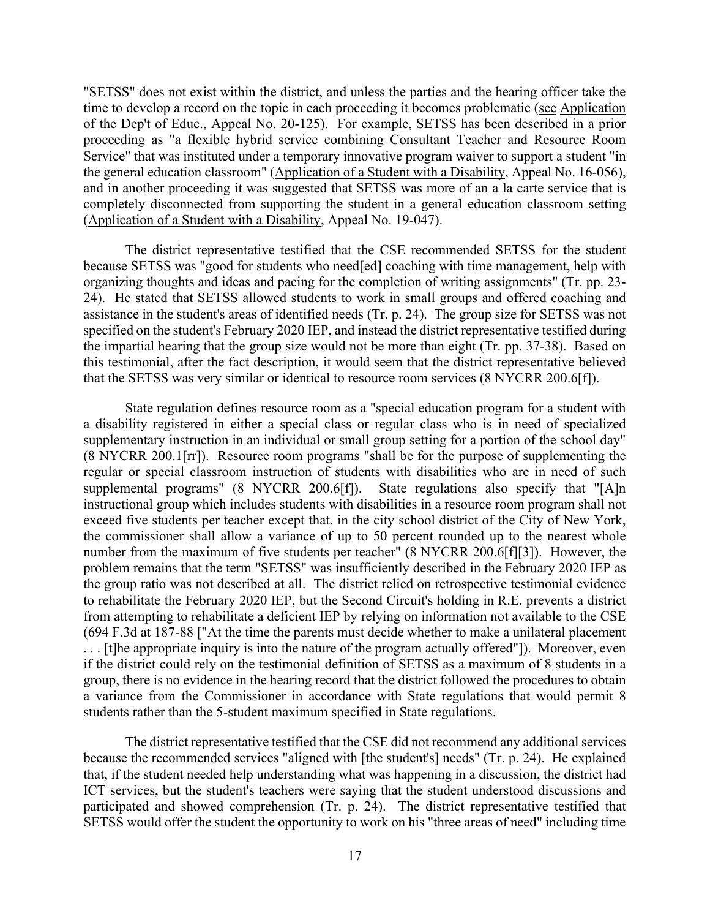"SETSS" does not exist within the district, and unless the parties and the hearing officer take the time to develop a record on the topic in each proceeding it becomes problematic (see Application of the Dep't of Educ., Appeal No. 20-125). For example, SETSS has been described in a prior proceeding as "a flexible hybrid service combining Consultant Teacher and Resource Room Service" that was instituted under a temporary innovative program waiver to support a student "in the general education classroom" (Application of a Student with a Disability, Appeal No. 16-056), and in another proceeding it was suggested that SETSS was more of an a la carte service that is completely disconnected from supporting the student in a general education classroom setting (Application of a Student with a Disability, Appeal No. 19-047).

 because SETSS was "good for students who need[ed] coaching with time management, help with 24). He stated that SETSS allowed students to work in small groups and offered coaching and specified on the student's February 2020 IEP, and instead the district representative testified during the impartial hearing that the group size would not be more than eight (Tr. pp. 37-38). Based on The district representative testified that the CSE recommended SETSS for the student organizing thoughts and ideas and pacing for the completion of writing assignments" (Tr. pp. 23 assistance in the student's areas of identified needs (Tr. p. 24). The group size for SETSS was not this testimonial, after the fact description, it would seem that the district representative believed that the SETSS was very similar or identical to resource room services (8 NYCRR 200.6[f]).

 supplemental programs" (8 NYCRR 200.6[f]). State regulations also specify that "[A]n exceed five students per teacher except that, in the city school district of the City of New York, the group ratio was not described at all. The district relied on retrospective testimonial evidence if the district could rely on the testimonial definition of SETSS as a maximum of 8 students in a group, there is no evidence in the hearing record that the district followed the procedures to obtain State regulation defines resource room as a "special education program for a student with a disability registered in either a special class or regular class who is in need of specialized supplementary instruction in an individual or small group setting for a portion of the school day" (8 NYCRR 200.1[rr]). Resource room programs "shall be for the purpose of supplementing the regular or special classroom instruction of students with disabilities who are in need of such instructional group which includes students with disabilities in a resource room program shall not the commissioner shall allow a variance of up to 50 percent rounded up to the nearest whole number from the maximum of five students per teacher" (8 NYCRR 200.6[f][3]). However, the problem remains that the term "SETSS" was insufficiently described in the February 2020 IEP as to rehabilitate the February 2020 IEP, but the Second Circuit's holding in R.E. prevents a district from attempting to rehabilitate a deficient IEP by relying on information not available to the CSE (694 F.3d at 187-88 ["At the time the parents must decide whether to make a unilateral placement . . . [t]he appropriate inquiry is into the nature of the program actually offered"]). Moreover, even a variance from the Commissioner in accordance with State regulations that would permit 8 students rather than the 5-student maximum specified in State regulations.

 participated and showed comprehension (Tr. p. 24). The district representative testified that The district representative testified that the CSE did not recommend any additional services because the recommended services "aligned with [the student's] needs" (Tr. p. 24). He explained that, if the student needed help understanding what was happening in a discussion, the district had ICT services, but the student's teachers were saying that the student understood discussions and SETSS would offer the student the opportunity to work on his "three areas of need" including time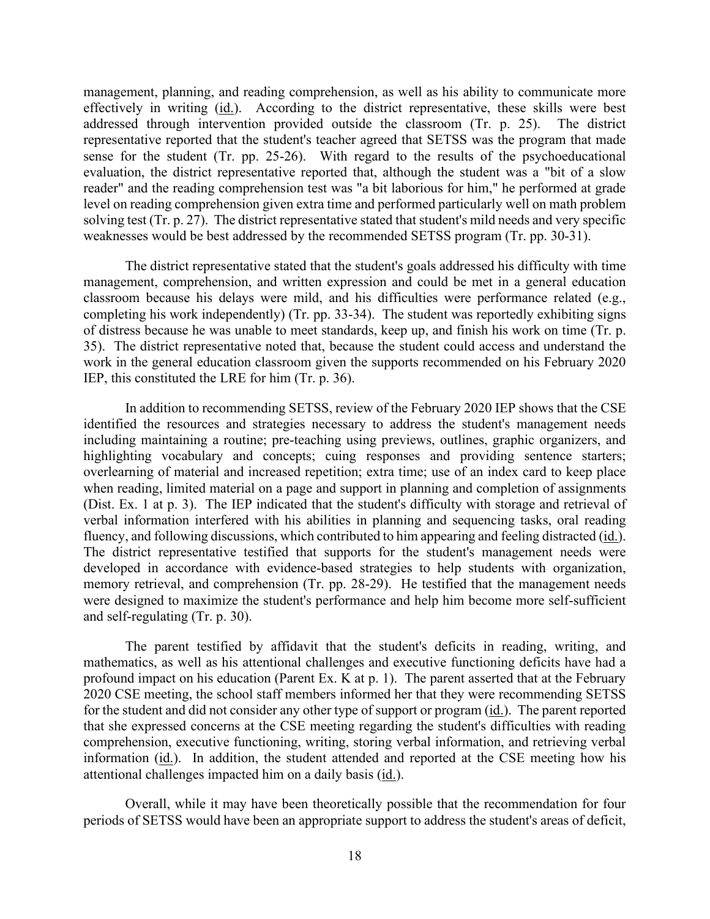evaluation, the district representative reported that, although the student was a "bit of a slow solving test (Tr. p. 27). The district representative stated that student's mild needs and very specific management, planning, and reading comprehension, as well as his ability to communicate more effectively in writing (id.). According to the district representative, these skills were best addressed through intervention provided outside the classroom (Tr. p. 25). The district representative reported that the student's teacher agreed that SETSS was the program that made sense for the student (Tr. pp. 25-26). With regard to the results of the psychoeducational reader" and the reading comprehension test was "a bit laborious for him," he performed at grade level on reading comprehension given extra time and performed particularly well on math problem weaknesses would be best addressed by the recommended SETSS program (Tr. pp. 30-31).

 35). The district representative noted that, because the student could access and understand the IEP, this constituted the LRE for him (Tr. p. 36). The district representative stated that the student's goals addressed his difficulty with time management, comprehension, and written expression and could be met in a general education classroom because his delays were mild, and his difficulties were performance related (e.g., completing his work independently) (Tr. pp. 33-34). The student was reportedly exhibiting signs of distress because he was unable to meet standards, keep up, and finish his work on time (Tr. p. work in the general education classroom given the supports recommended on his February 2020

fluency, and following discussions, which contributed to him appearing and feeling distracted (id.). In addition to recommending SETSS, review of the February 2020 IEP shows that the CSE identified the resources and strategies necessary to address the student's management needs including maintaining a routine; pre-teaching using previews, outlines, graphic organizers, and highlighting vocabulary and concepts; cuing responses and providing sentence starters; overlearning of material and increased repetition; extra time; use of an index card to keep place when reading, limited material on a page and support in planning and completion of assignments (Dist. Ex. 1 at p. 3). The IEP indicated that the student's difficulty with storage and retrieval of verbal information interfered with his abilities in planning and sequencing tasks, oral reading The district representative testified that supports for the student's management needs were developed in accordance with evidence-based strategies to help students with organization, memory retrieval, and comprehension (Tr. pp. 28-29). He testified that the management needs were designed to maximize the student's performance and help him become more self-sufficient and self-regulating (Tr. p. 30).

 mathematics, as well as his attentional challenges and executive functioning deficits have had a profound impact on his education (Parent Ex. K at p. 1). The parent asserted that at the February The parent testified by affidavit that the student's deficits in reading, writing, and 2020 CSE meeting, the school staff members informed her that they were recommending SETSS for the student and did not consider any other type of support or program (id.). The parent reported that she expressed concerns at the CSE meeting regarding the student's difficulties with reading comprehension, executive functioning, writing, storing verbal information, and retrieving verbal information (id.). In addition, the student attended and reported at the CSE meeting how his attentional challenges impacted him on a daily basis (id.).

Overall, while it may have been theoretically possible that the recommendation for four periods of SETSS would have been an appropriate support to address the student's areas of deficit,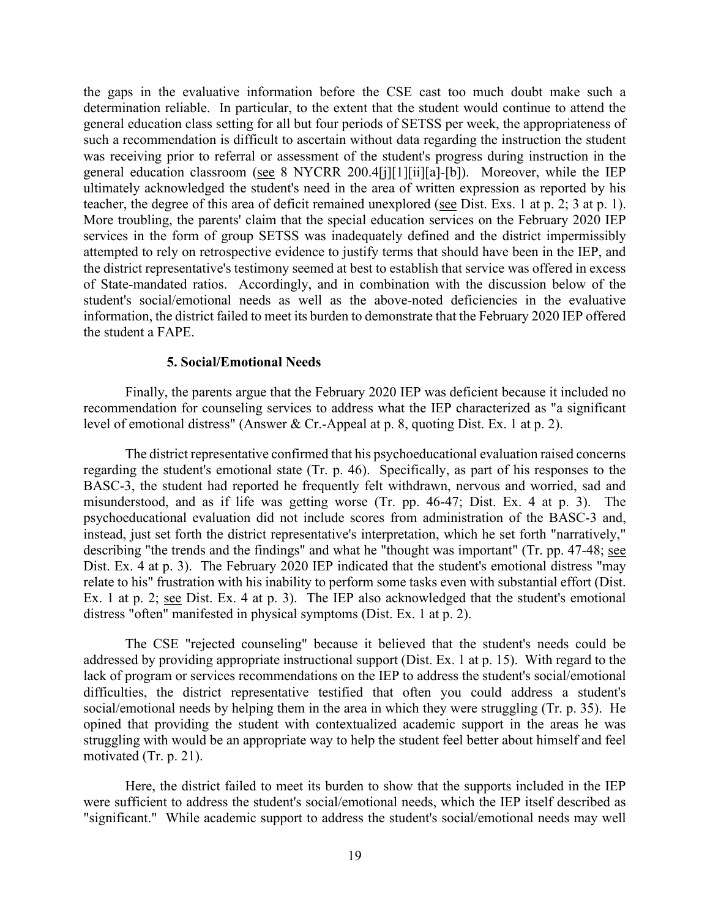determination reliable. In particular, to the extent that the student would continue to attend the general education classroom (see 8 NYCRR 200.4[j][1][ii][a]-[b]). Moreover, while the IEP teacher, the degree of this area of deficit remained unexplored (see Dist. Exs. 1 at p. 2; 3 at p. 1). More troubling, the parents' claim that the special education services on the February 2020 IEP services in the form of group SETSS was inadequately defined and the district impermissibly of State-mandated ratios. Accordingly, and in combination with the discussion below of the the gaps in the evaluative information before the CSE cast too much doubt make such a general education class setting for all but four periods of SETSS per week, the appropriateness of such a recommendation is difficult to ascertain without data regarding the instruction the student was receiving prior to referral or assessment of the student's progress during instruction in the ultimately acknowledged the student's need in the area of written expression as reported by his attempted to rely on retrospective evidence to justify terms that should have been in the IEP, and the district representative's testimony seemed at best to establish that service was offered in excess student's social/emotional needs as well as the above-noted deficiencies in the evaluative information, the district failed to meet its burden to demonstrate that the February 2020 IEP offered the student a FAPE.

#### **5. Social/Emotional Needs**

 Finally, the parents argue that the February 2020 IEP was deficient because it included no recommendation for counseling services to address what the IEP characterized as "a significant level of emotional distress" (Answer & Cr.-Appeal at p. 8, quoting Dist. Ex. 1 at p. 2).

 misunderstood, and as if life was getting worse (Tr. pp. 46-47; Dist. Ex. 4 at p. 3). The psychoeducational evaluation did not include scores from administration of the BASC-3 and, describing "the trends and the findings" and what he "thought was important" (Tr. pp. 47-48; see Ex. 1 at p. 2; see Dist. Ex. 4 at p. 3). The IEP also acknowledged that the student's emotional distress "often" manifested in physical symptoms (Dist. Ex. 1 at p. 2). The district representative confirmed that his psychoeducational evaluation raised concerns regarding the student's emotional state (Tr. p. 46). Specifically, as part of his responses to the BASC-3, the student had reported he frequently felt withdrawn, nervous and worried, sad and instead, just set forth the district representative's interpretation, which he set forth "narratively," Dist. Ex. 4 at p. 3). The February 2020 IEP indicated that the student's emotional distress "may relate to his" frustration with his inability to perform some tasks even with substantial effort (Dist.

 The CSE "rejected counseling" because it believed that the student's needs could be addressed by providing appropriate instructional support (Dist. Ex. 1 at p. 15). With regard to the lack of program or services recommendations on the IEP to address the student's social/emotional difficulties, the district representative testified that often you could address a student's social/emotional needs by helping them in the area in which they were struggling (Tr. p. 35). He opined that providing the student with contextualized academic support in the areas he was struggling with would be an appropriate way to help the student feel better about himself and feel motivated (Tr. p. 21).

 Here, the district failed to meet its burden to show that the supports included in the IEP were sufficient to address the student's social/emotional needs, which the IEP itself described as "significant." While academic support to address the student's social/emotional needs may well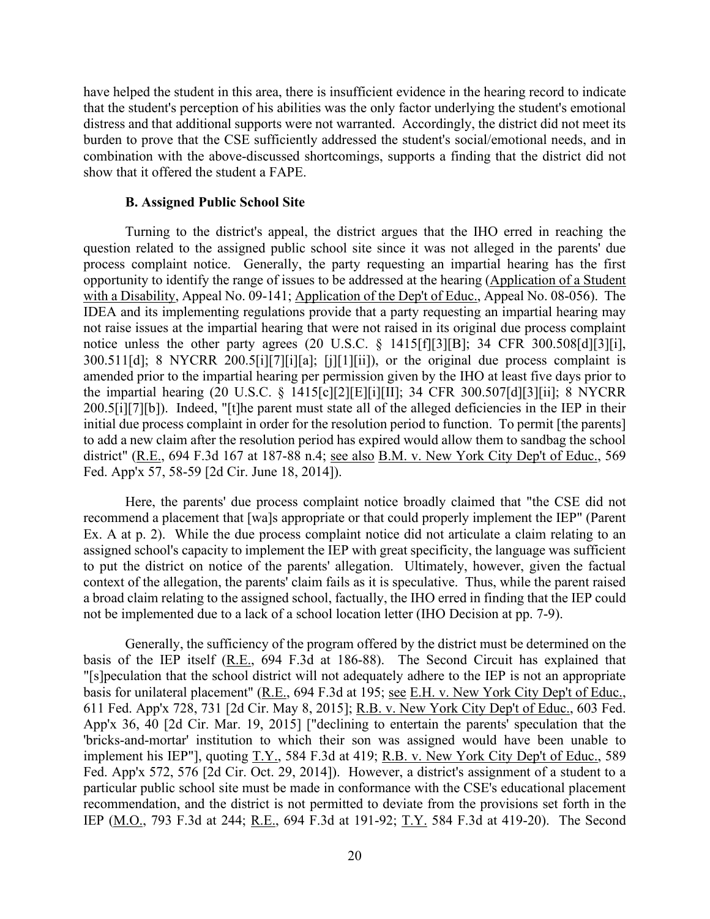distress and that additional supports were not warranted. Accordingly, the district did not meet its have helped the student in this area, there is insufficient evidence in the hearing record to indicate that the student's perception of his abilities was the only factor underlying the student's emotional burden to prove that the CSE sufficiently addressed the student's social/emotional needs, and in combination with the above-discussed shortcomings, supports a finding that the district did not show that it offered the student a FAPE.

#### **B. Assigned Public School Site**

 200.5[i][7][b]). Indeed, "[t]he parent must state all of the alleged deficiencies in the IEP in their Turning to the district's appeal, the district argues that the IHO erred in reaching the question related to the assigned public school site since it was not alleged in the parents' due process complaint notice. Generally, the party requesting an impartial hearing has the first opportunity to identify the range of issues to be addressed at the hearing (Application of a Student with a Disability, Appeal No. 09-141; Application of the Dep't of Educ., Appeal No. 08-056). The IDEA and its implementing regulations provide that a party requesting an impartial hearing may not raise issues at the impartial hearing that were not raised in its original due process complaint notice unless the other party agrees (20 U.S.C. § 1415[f][3][B]; 34 CFR 300.508[d][3][i], 300.511[d]; 8 NYCRR 200.5[i][7][i][a]; [j][1][ii]), or the original due process complaint is amended prior to the impartial hearing per permission given by the IHO at least five days prior to the impartial hearing (20 U.S.C. § 1415[c][2][E][i][II]; 34 CFR 300.507[d][3][ii]; 8 NYCRR initial due process complaint in order for the resolution period to function. To permit [the parents] to add a new claim after the resolution period has expired would allow them to sandbag the school district" (R.E., 694 F.3d 167 at 187-88 n.4; see also B.M. v. New York City Dep't of Educ., 569 Fed. App'x 57, 58-59 [2d Cir. June 18, 2014]).

Here, the parents' due process complaint notice broadly claimed that "the CSE did not recommend a placement that [wa]s appropriate or that could properly implement the IEP" (Parent Ex. A at p. 2). While the due process complaint notice did not articulate a claim relating to an assigned school's capacity to implement the IEP with great specificity, the language was sufficient to put the district on notice of the parents' allegation. Ultimately, however, given the factual context of the allegation, the parents' claim fails as it is speculative. Thus, while the parent raised a broad claim relating to the assigned school, factually, the IHO erred in finding that the IEP could not be implemented due to a lack of a school location letter (IHO Decision at pp. 7-9).

basis for unilateral placement" (R.E., 694 F.3d at 195; see E.H. v. New York City Dep't of Educ., IEP (M.O., 793 F.3d at 244; R.E., 694 F.3d at 191-92; T.Y. 584 F.3d at 419-20). The Second Generally, the sufficiency of the program offered by the district must be determined on the basis of the IEP itself (R.E., 694 F.3d at 186-88). The Second Circuit has explained that "[s]peculation that the school district will not adequately adhere to the IEP is not an appropriate 611 Fed. App'x 728, 731 [2d Cir. May 8, 2015]; R.B. v. New York City Dep't of Educ., 603 Fed. App'x 36, 40 [2d Cir. Mar. 19, 2015] ["declining to entertain the parents' speculation that the 'bricks-and-mortar' institution to which their son was assigned would have been unable to implement his IEP"], quoting T.Y., 584 F.3d at 419; R.B. v. New York City Dep't of Educ., 589 Fed. App'x 572, 576 [2d Cir. Oct. 29, 2014]). However, a district's assignment of a student to a particular public school site must be made in conformance with the CSE's educational placement recommendation, and the district is not permitted to deviate from the provisions set forth in the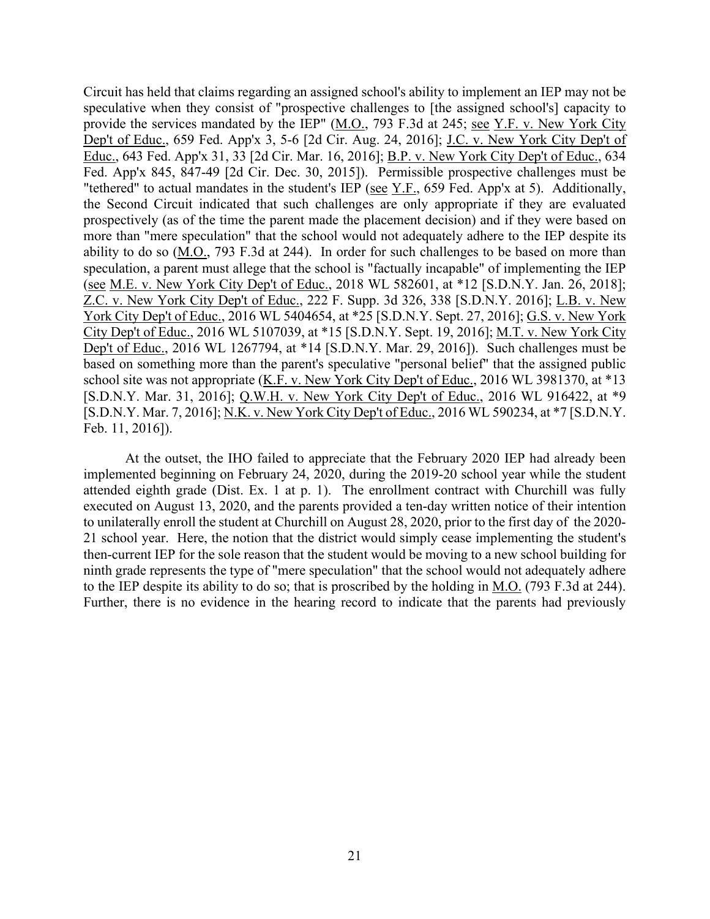provide the services mandated by the IEP" (M.O., 793 F.3d at 245; see Y.F. v. New York City York City Dep't of Educ., 2016 WL 5404654, at \*25 [S.D.N.Y. Sept. 27, 2016]; G.S. v. New York Circuit has held that claims regarding an assigned school's ability to implement an IEP may not be speculative when they consist of "prospective challenges to [the assigned school's] capacity to Dep't of Educ., 659 Fed. App'x 3, 5-6 [2d Cir. Aug. 24, 2016]; J.C. v. New York City Dep't of Educ., 643 Fed. App'x 31, 33 [2d Cir. Mar. 16, 2016]; B.P. v. New York City Dep't of Educ., 634 Fed. App'x 845, 847-49 [2d Cir. Dec. 30, 2015]). Permissible prospective challenges must be "tethered" to actual mandates in the student's IEP (see Y.F., 659 Fed. App'x at 5). Additionally, the Second Circuit indicated that such challenges are only appropriate if they are evaluated prospectively (as of the time the parent made the placement decision) and if they were based on more than "mere speculation" that the school would not adequately adhere to the IEP despite its ability to do so (M.O., 793 F.3d at 244). In order for such challenges to be based on more than speculation, a parent must allege that the school is "factually incapable" of implementing the IEP (see M.E. v. New York City Dep't of Educ., 2018 WL 582601, at \*12 [S.D.N.Y. Jan. 26, 2018]; Z.C. v. New York City Dep't of Educ., 222 F. Supp. 3d 326, 338 [S.D.N.Y. 2016]; L.B. v. New City Dep't of Educ., 2016 WL 5107039, at \*15 [S.D.N.Y. Sept. 19, 2016]; M.T. v. New York City Dep't of Educ., 2016 WL 1267794, at \*14 [S.D.N.Y. Mar. 29, 2016]). Such challenges must be based on something more than the parent's speculative "personal belief" that the assigned public school site was not appropriate (K.F. v. New York City Dep't of Educ., 2016 WL 3981370, at \*13 [S.D.N.Y. Mar. 31, 2016]; Q.W.H. v. New York City Dep't of Educ., 2016 WL 916422, at \*9 [S.D.N.Y. Mar. 7, 2016]; N.K. v. New York City Dep't of Educ., 2016 WL 590234, at \*7 [S.D.N.Y. Feb. 11, 2016]).

 At the outset, the IHO failed to appreciate that the February 2020 IEP had already been attended eighth grade (Dist. Ex. 1 at p. 1). The enrollment contract with Churchill was fully to the IEP despite its ability to do so; that is proscribed by the holding in M.O. (793 F.3d at 244). implemented beginning on February 24, 2020, during the 2019-20 school year while the student executed on August 13, 2020, and the parents provided a ten-day written notice of their intention to unilaterally enroll the student at Churchill on August 28, 2020, prior to the first day of the 2020- 21 school year. Here, the notion that the district would simply cease implementing the student's then-current IEP for the sole reason that the student would be moving to a new school building for ninth grade represents the type of "mere speculation" that the school would not adequately adhere Further, there is no evidence in the hearing record to indicate that the parents had previously.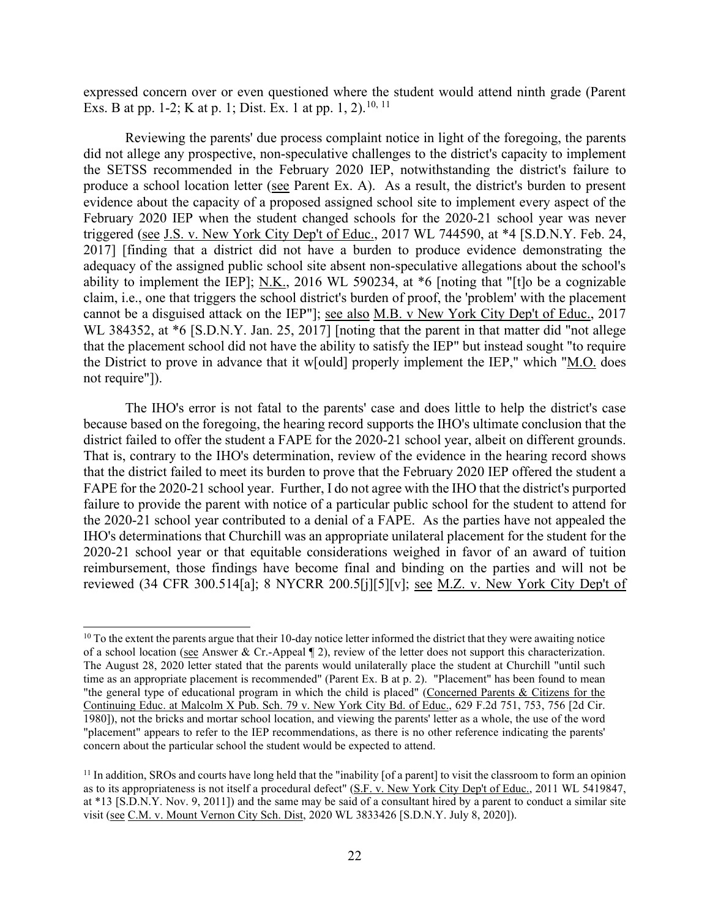expressed concern over or even questioned where the student would attend ninth grade (Parent Exs. B at pp. 1-2; K at p. 1; Dist. Ex. 1 at pp. 1, 2).<sup>[10](#page-21-0), 11</sup>

produce a school location letter (see Parent Ex. A). As a result, the district's burden to present cannot be a disguised attack on the IEP"]; <u>see also M.B. v New York City Dep't of Educ.</u>, 2017 the District to prove in advance that it w[ould] properly implement the IEP," which "M.O. does Reviewing the parents' due process complaint notice in light of the foregoing, the parents did not allege any prospective, non-speculative challenges to the district's capacity to implement the SETSS recommended in the February 2020 IEP, notwithstanding the district's failure to evidence about the capacity of a proposed assigned school site to implement every aspect of the February 2020 IEP when the student changed schools for the 2020-21 school year was never triggered (see J.S. v. New York City Dep't of Educ., 2017 WL 744590, at \*4 [S.D.N.Y. Feb. 24, 2017] [finding that a district did not have a burden to produce evidence demonstrating the adequacy of the assigned public school site absent non-speculative allegations about the school's ability to implement the IEP]; N.K., 2016 WL 590234, at \*6 [noting that "[t]o be a cognizable claim, i.e., one that triggers the school district's burden of proof, the 'problem' with the placement WL 384352, at  $*6$  [S.D.N.Y. Jan. 25, 2017] [noting that the parent in that matter did "not allege that the placement school did not have the ability to satisfy the IEP" but instead sought "to require not require"]).

 because based on the foregoing, the hearing record supports the IHO's ultimate conclusion that the 2020-21 school year or that equitable considerations weighed in favor of an award of tuition reimbursement, those findings have become final and binding on the parties and will not be The IHO's error is not fatal to the parents' case and does little to help the district's case district failed to offer the student a FAPE for the 2020-21 school year, albeit on different grounds. That is, contrary to the IHO's determination, review of the evidence in the hearing record shows that the district failed to meet its burden to prove that the February 2020 IEP offered the student a FAPE for the 2020-21 school year. Further, I do not agree with the IHO that the district's purported failure to provide the parent with notice of a particular public school for the student to attend for the 2020-21 school year contributed to a denial of a FAPE. As the parties have not appealed the IHO's determinations that Churchill was an appropriate unilateral placement for the student for the reviewed (34 CFR 300.514[a]; 8 NYCRR 200.5[j][5][v]; see M.Z. v. New York City Dep't of

<span id="page-21-0"></span>of a school location (see Answer & Cr.-Appeal  $\P$  2), review of the letter does not support this characterization. Continuing Educ. at Malcolm X Pub. Sch. 79 v. New York City Bd. of Educ., 629 F.2d 751, 753, 756 [2d Cir.  $10$  To the extent the parents argue that their 10-day notice letter informed the district that they were awaiting notice The August 28, 2020 letter stated that the parents would unilaterally place the student at Churchill "until such time as an appropriate placement is recommended" (Parent Ex. B at p. 2). "Placement" has been found to mean "the general type of educational program in which the child is placed" (Concerned Parents & Citizens for the 1980]), not the bricks and mortar school location, and viewing the parents' letter as a whole, the use of the word "placement" appears to refer to the IEP recommendations, as there is no other reference indicating the parents' concern about the particular school the student would be expected to attend.

<span id="page-21-1"></span> $<sup>11</sup>$  In addition, SROs and courts have long held that the "inability [of a parent] to visit the classroom to form an opinion</sup> as to its appropriateness is not itself a procedural defect" (S.F. v. New York City Dep't of Educ., 2011 WL 5419847, at \*13 [S.D.N.Y. Nov. 9, 2011]) and the same may be said of a consultant hired by a parent to conduct a similar site visit (see C.M. v. Mount Vernon City Sch. Dist, 2020 WL 3833426 [S.D.N.Y. July 8, 2020]).